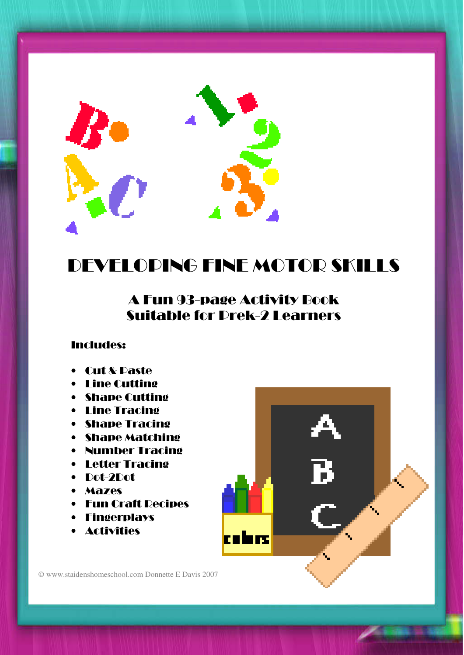

# DEVELOPING FINE MOTOR SKILLS

## A Fun 93-page Activity Book Suitable for Prek-2 Learners

#### Includes:

- Cut & Paste
- Line Cutting
- Shape Cutting
- Line Tracing
- Shape Tracing
- Shape Matching
- Number Tracing
- Letter Tracing
- Dot-2Dot
- Mazes
- Fun Craft Recipes
- Fingerplays
- Activities



© www.staidenshomeschool.com Donnette E Davis 2007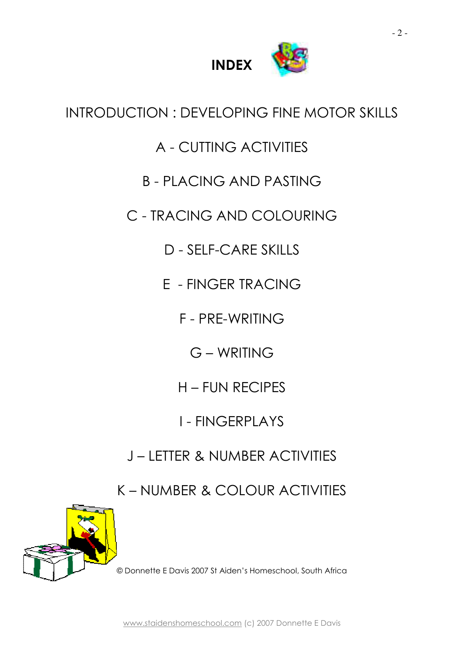

## INTRODUCTION : DEVELOPING FINE MOTOR SKILLS

# A - CUTTING ACTIVITIES

## B - PLACING AND PASTING

## C - TRACING AND COLOURING

# D - SELF-CARE SKILLS

## E - FINGER TRACING

## F - PRE-WRITING

## G – WRITING

# H – FUN RECIPES

# I - FINGERPLAYS

# J – LETTER & NUMBER ACTIVITIES

# K – NUMBER & COLOUR ACTIVITIES



© Donnette E Davis 2007 St Aiden's Homeschool, South Africa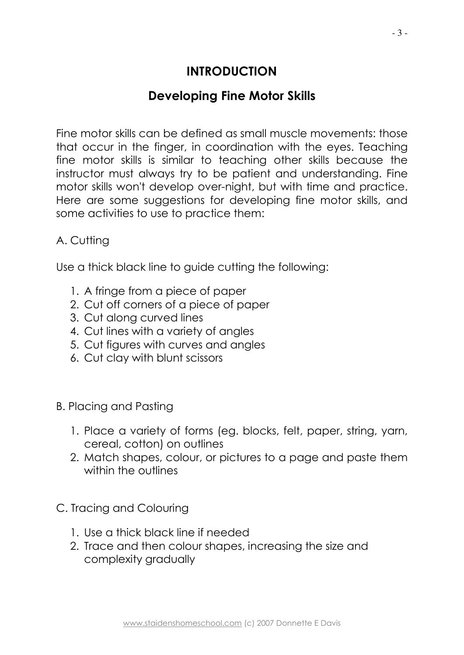## INTRODUCTION

## Developing Fine Motor Skills

Fine motor skills can be defined as small muscle movements: those that occur in the finger, in coordination with the eyes. Teaching fine motor skills is similar to teaching other skills because the instructor must always try to be patient and understanding. Fine motor skills won't develop over-night, but with time and practice. Here are some suggestions for developing fine motor skills, and some activities to use to practice them:

### A. Cutting

Use a thick black line to guide cutting the following:

- 1. A fringe from a piece of paper
- 2. Cut off corners of a piece of paper
- 3. Cut along curved lines
- 4. Cut lines with a variety of angles
- 5. Cut figures with curves and angles
- 6. Cut clay with blunt scissors
- B. Placing and Pasting
	- 1. Place a variety of forms (eg. blocks, felt, paper, string, yarn, cereal, cotton) on outlines
	- 2. Match shapes, colour, or pictures to a page and paste them within the outlines
- C. Tracing and Colouring
	- 1. Use a thick black line if needed
	- 2. Trace and then colour shapes, increasing the size and complexity gradually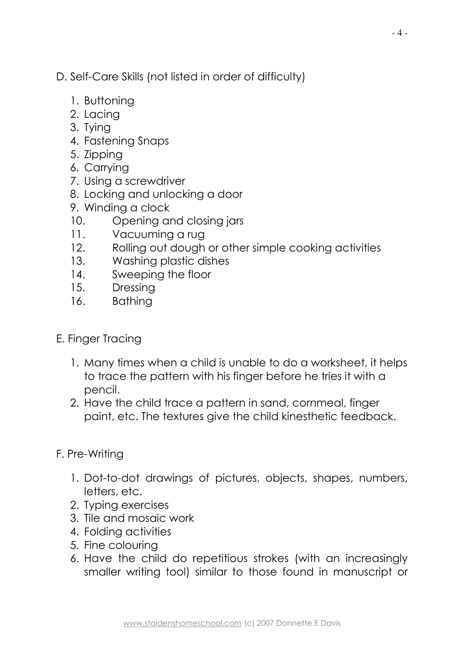- D. Self-Care Skills (not listed in order of difficulty)
	- 1. Buttoning
	- 2. Lacing
	- 3. Tying
	- 4. Fastening Snaps
	- 5. Zipping
	- 6. Carrying
	- 7. Using a screwdriver
	- 8. Locking and unlocking a door
	- 9. Winding a clock
	- 10. Opening and closing jars
	- 11. Vacuuming a rug
	- 12. Rolling out dough or other simple cooking activities
	- 13. Washing plastic dishes
	- 14. Sweeping the floor
	- 15. Dressing
	- 16. Bathing
- E. Finger Tracing
	- 1. Many times when a child is unable to do a worksheet, it helps to trace the pattern with his finger before he tries it with a pencil.
	- 2. Have the child trace a pattern in sand, cornmeal, finger paint, etc. The textures give the child kinesthetic feedback.
- F. Pre-Writing
	- 1. Dot-to-dot drawings of pictures, objects, shapes, numbers, letters, etc.
	- 2. Typing exercises
	- 3. Tile and mosaic work
	- 4. Folding activities
	- 5. Fine colouring
	- 6. Have the child do repetitious strokes (with an increasingly smaller writing tool) similar to those found in manuscript or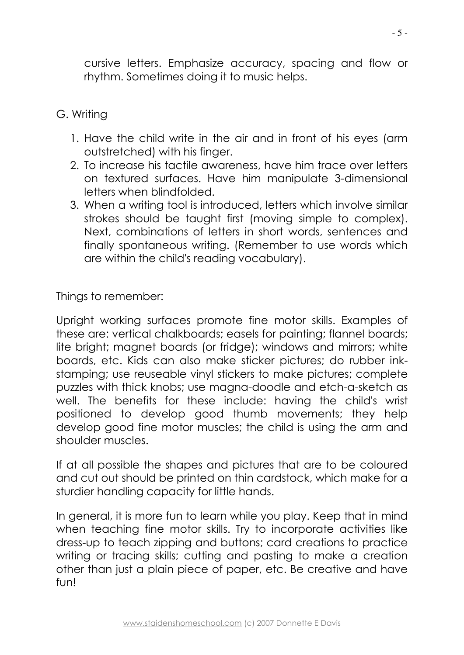cursive letters. Emphasize accuracy, spacing and flow or rhythm. Sometimes doing it to music helps.

#### G. Writing

- 1. Have the child write in the air and in front of his eyes (arm outstretched) with his finger.
- 2. To increase his tactile awareness, have him trace over letters on textured surfaces. Have him manipulate 3-dimensional letters when blindfolded.
- 3. When a writing tool is introduced, letters which involve similar strokes should be taught first (moving simple to complex). Next, combinations of letters in short words, sentences and finally spontaneous writing. (Remember to use words which are within the child's reading vocabulary).

Things to remember:

Upright working surfaces promote fine motor skills. Examples of these are: vertical chalkboards; easels for painting; flannel boards; lite bright; magnet boards (or fridge); windows and mirrors; white boards, etc. Kids can also make sticker pictures; do rubber inkstamping; use reuseable vinyl stickers to make pictures; complete puzzles with thick knobs; use magna-doodle and etch-a-sketch as well. The benefits for these include: having the child's wrist positioned to develop good thumb movements; they help develop good fine motor muscles; the child is using the arm and shoulder muscles.

If at all possible the shapes and pictures that are to be coloured and cut out should be printed on thin cardstock, which make for a sturdier handling capacity for little hands.

In general, it is more fun to learn while you play. Keep that in mind when teaching fine motor skills. Try to incorporate activities like dress-up to teach zipping and buttons; card creations to practice writing or tracing skills; cutting and pasting to make a creation other than just a plain piece of paper, etc. Be creative and have fun!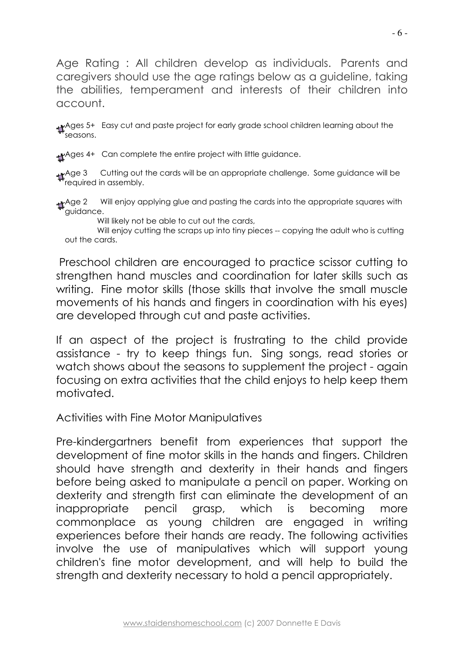Age Rating : All children develop as individuals. Parents and caregivers should use the age ratings below as a guideline, taking the abilities, temperament and interests of their children into account.

 $\textbf{1}$ **Ages 5+** Easy cut and paste project for early grade school children learning about the seasons.

+Ages 4+ Can complete the entire project with little guidance.

Age 3 Cutting out the cards will be an appropriate challenge. Some guidance will be required in assembly.

 $\pm$ Age 2 Will enjoy applying glue and pasting the cards into the appropriate squares with guidance.

Will likely not be able to cut out the cards,

Will enjoy cutting the scraps up into tiny pieces -- copying the adult who is cutting out the cards.

Preschool children are encouraged to practice scissor cutting to strengthen hand muscles and coordination for later skills such as writing. Fine motor skills (those skills that involve the small muscle movements of his hands and fingers in coordination with his eyes) are developed through cut and paste activities.

If an aspect of the project is frustrating to the child provide assistance - try to keep things fun. Sing songs, read stories or watch shows about the seasons to supplement the project - again focusing on extra activities that the child enjoys to help keep them motivated.

Activities with Fine Motor Manipulatives

Pre-kindergartners benefit from experiences that support the development of fine motor skills in the hands and fingers. Children should have strength and dexterity in their hands and fingers before being asked to manipulate a pencil on paper. Working on dexterity and strength first can eliminate the development of an inappropriate pencil grasp, which is becoming more commonplace as young children are engaged in writing experiences before their hands are ready. The following activities involve the use of manipulatives which will support young children's fine motor development, and will help to build the strength and dexterity necessary to hold a pencil appropriately.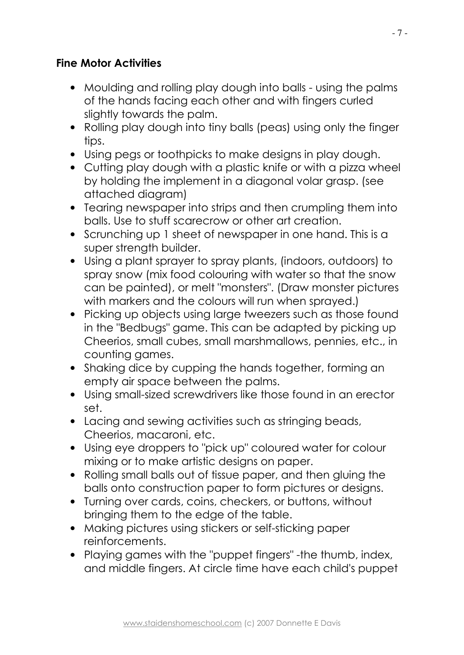### Fine Motor Activities

- Moulding and rolling play dough into balls using the palms of the hands facing each other and with fingers curled slightly towards the palm.
- Rolling play dough into tiny balls (peas) using only the finger tips.
- Using pegs or toothpicks to make designs in play dough.
- Cutting play dough with a plastic knife or with a pizza wheel by holding the implement in a diagonal volar grasp. (see attached diagram)
- Tearing newspaper into strips and then crumpling them into balls. Use to stuff scarecrow or other art creation.
- Scrunching up 1 sheet of newspaper in one hand. This is a super strength builder.
- Using a plant sprayer to spray plants, (indoors, outdoors) to spray snow (mix food colouring with water so that the snow can be painted), or melt "monsters". (Draw monster pictures with markers and the colours will run when sprayed.)
- Picking up objects using large tweezers such as those found in the "Bedbugs" game. This can be adapted by picking up Cheerios, small cubes, small marshmallows, pennies, etc., in counting games.
- Shaking dice by cupping the hands together, forming an empty air space between the palms.
- Using small-sized screwdrivers like those found in an erector set.
- Lacing and sewing activities such as stringing beads, Cheerios, macaroni, etc.
- Using eye droppers to "pick up" coloured water for colour mixing or to make artistic designs on paper.
- Rolling small balls out of tissue paper, and then gluing the balls onto construction paper to form pictures or designs.
- Turning over cards, coins, checkers, or buttons, without bringing them to the edge of the table.
- Making pictures using stickers or self-sticking paper reinforcements.
- Playing games with the "puppet fingers" -the thumb, index, and middle fingers. At circle time have each child's puppet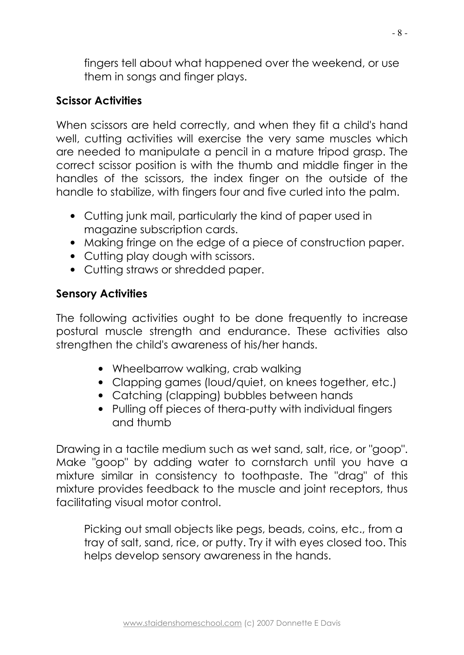fingers tell about what happened over the weekend, or use them in songs and finger plays.

#### Scissor Activities

When scissors are held correctly, and when they fit a child's hand well, cutting activities will exercise the very same muscles which are needed to manipulate a pencil in a mature tripod grasp. The correct scissor position is with the thumb and middle finger in the handles of the scissors, the index finger on the outside of the handle to stabilize, with fingers four and five curled into the palm.

- Cutting junk mail, particularly the kind of paper used in magazine subscription cards.
- Making fringe on the edge of a piece of construction paper.
- Cutting play dough with scissors.
- Cutting straws or shredded paper.

### Sensory Activities

The following activities ought to be done frequently to increase postural muscle strength and endurance. These activities also strengthen the child's awareness of his/her hands.

- Wheelbarrow walking, crab walking
- Clapping games (loud/quiet, on knees together, etc.)
- Catching (clapping) bubbles between hands
- Pulling off pieces of thera-putty with individual fingers and thumb

Drawing in a tactile medium such as wet sand, salt, rice, or "goop". Make "goop" by adding water to cornstarch until you have a mixture similar in consistency to toothpaste. The "drag" of this mixture provides feedback to the muscle and joint receptors, thus facilitating visual motor control.

Picking out small objects like pegs, beads, coins, etc., from a tray of salt, sand, rice, or putty. Try it with eyes closed too. This helps develop sensory awareness in the hands.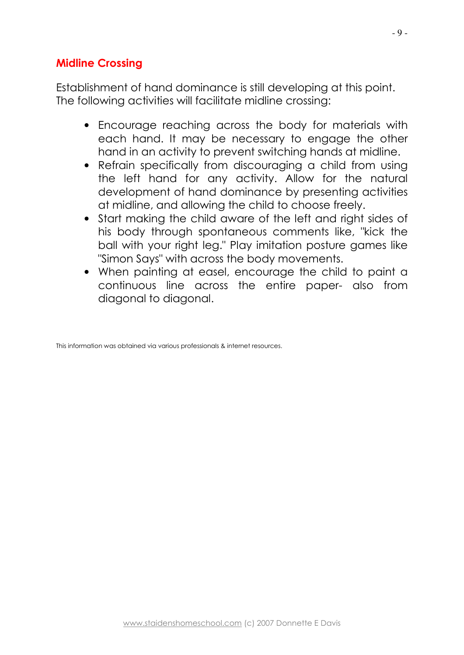#### Midline Crossing

Establishment of hand dominance is still developing at this point. The following activities will facilitate midline crossing:

- Encourage reaching across the body for materials with each hand. It may be necessary to engage the other hand in an activity to prevent switching hands at midline.
- Refrain specifically from discouraging a child from using the left hand for any activity. Allow for the natural development of hand dominance by presenting activities at midline, and allowing the child to choose freely.
- Start making the child aware of the left and right sides of his body through spontaneous comments like, "kick the ball with your right leg." Play imitation posture games like "Simon Says" with across the body movements.
- When painting at easel, encourage the child to paint a continuous line across the entire paper- also from diagonal to diagonal.

This information was obtained via various professionals & internet resources.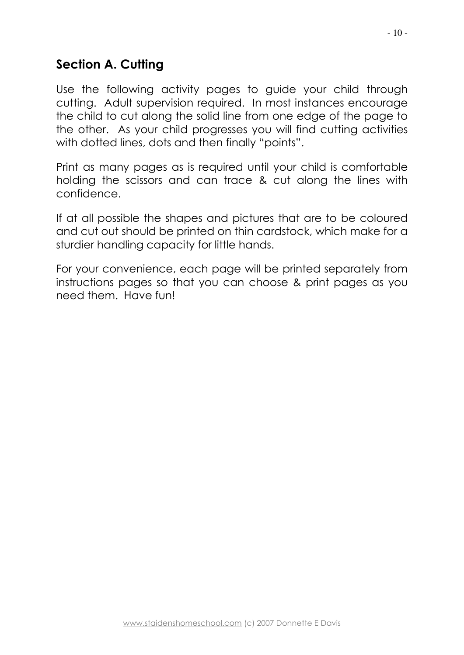### Section A. Cutting

Use the following activity pages to guide your child through cutting. Adult supervision required. In most instances encourage the child to cut along the solid line from one edge of the page to the other. As your child progresses you will find cutting activities with dotted lines, dots and then finally "points".

Print as many pages as is required until your child is comfortable holding the scissors and can trace & cut along the lines with confidence.

If at all possible the shapes and pictures that are to be coloured and cut out should be printed on thin cardstock, which make for a sturdier handling capacity for little hands.

For your convenience, each page will be printed separately from instructions pages so that you can choose & print pages as you need them. Have fun!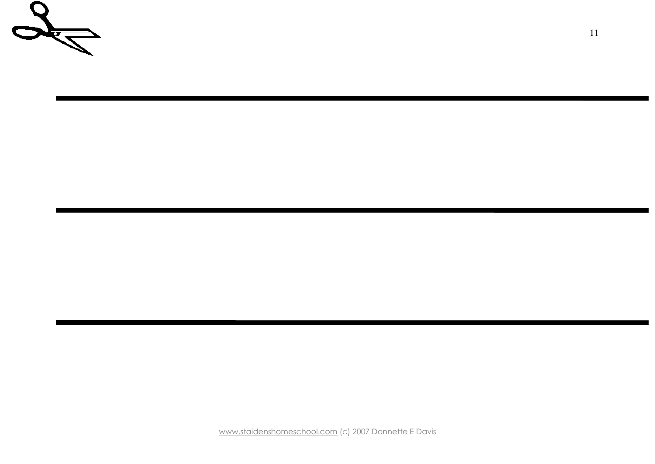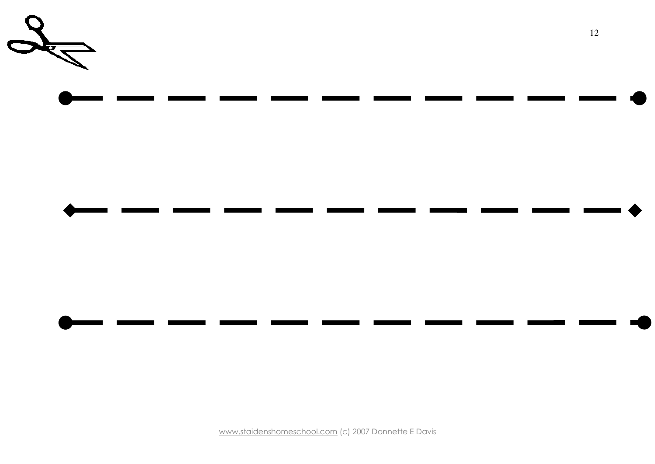



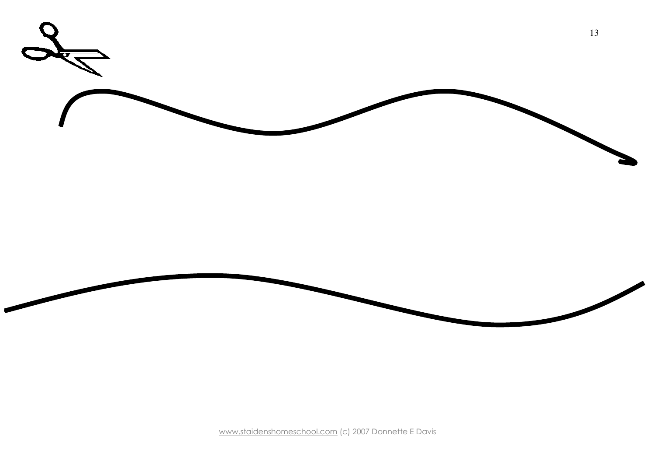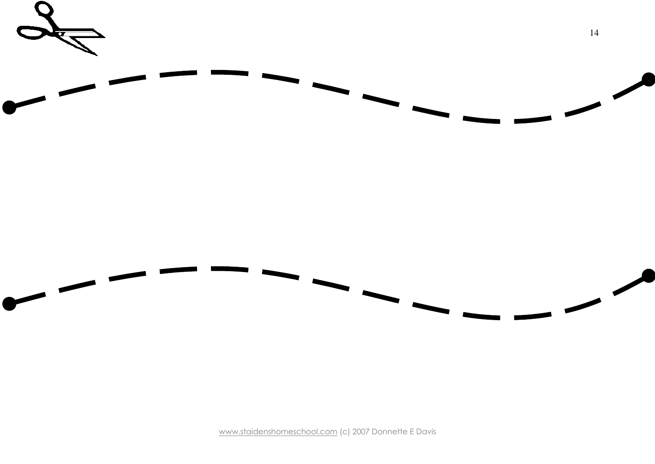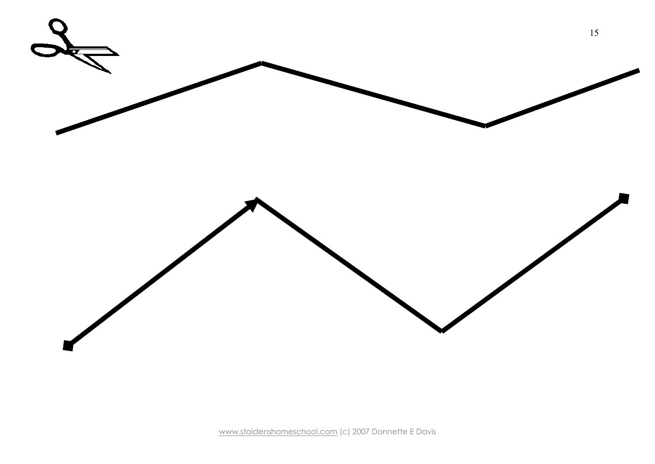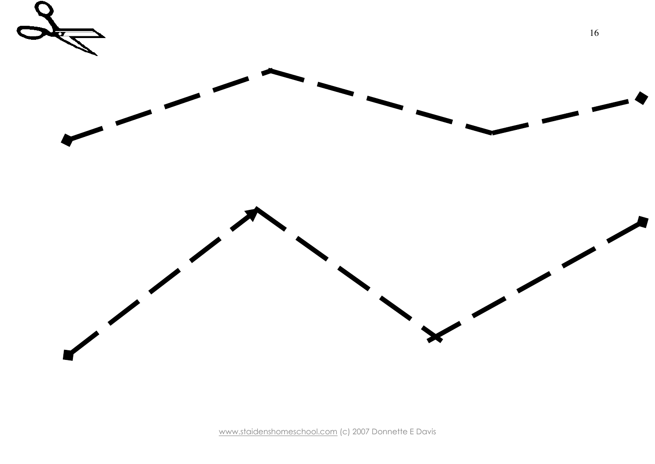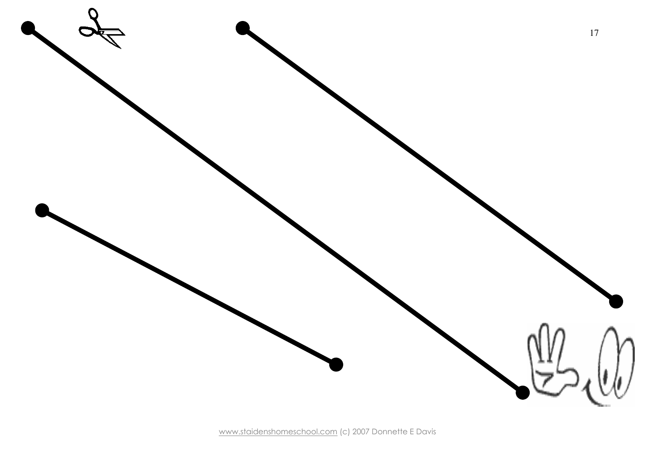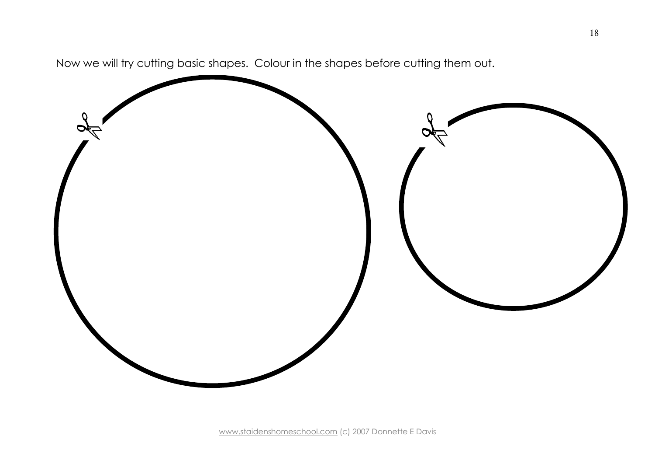Now we will try cutting basic shapes. Colour in the shapes before cutting them out.

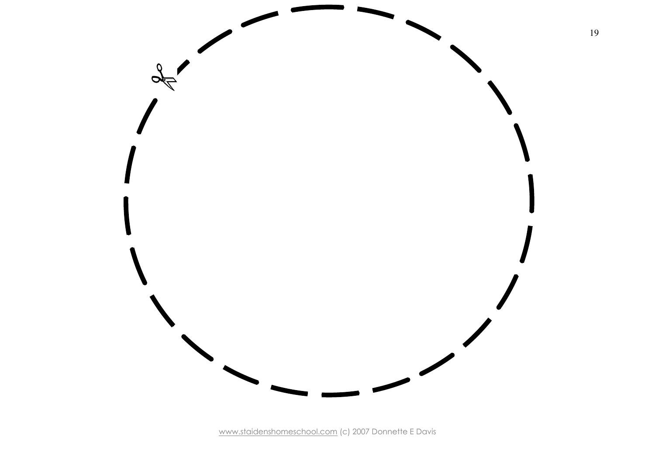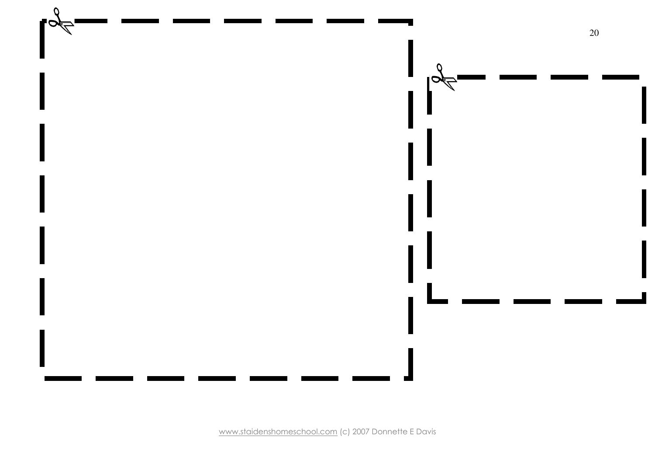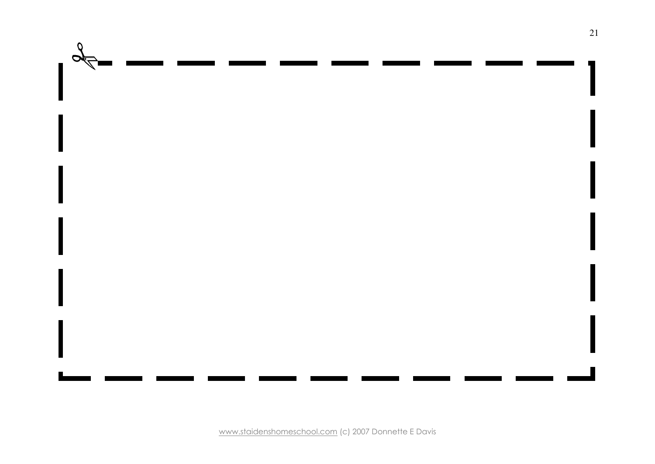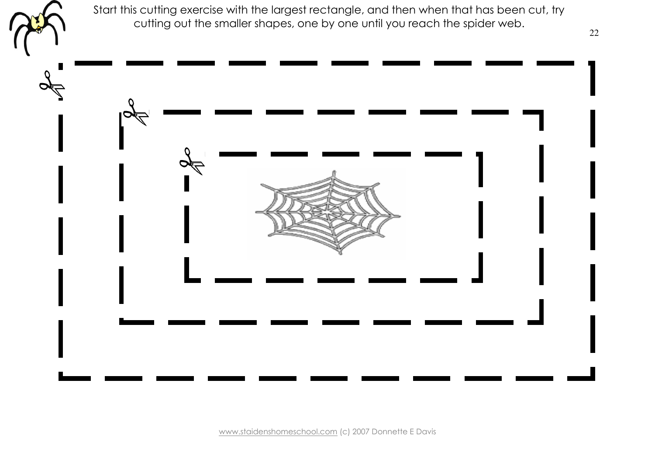

Start this cutting exercise with the largest rectangle, and then when that has been cut, try cutting out the smaller shapes, one by one until you reach the spider web.

22

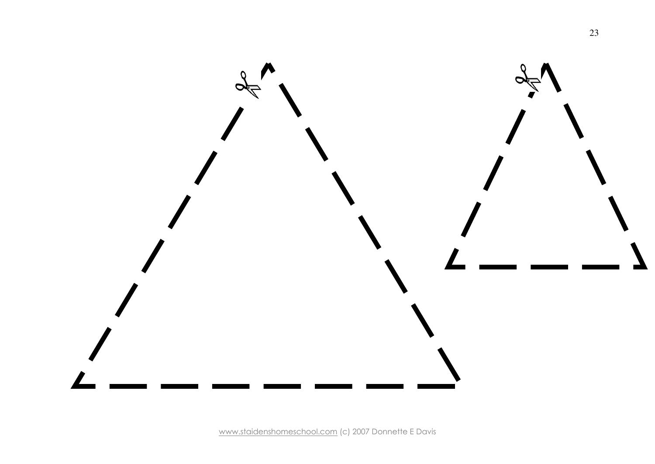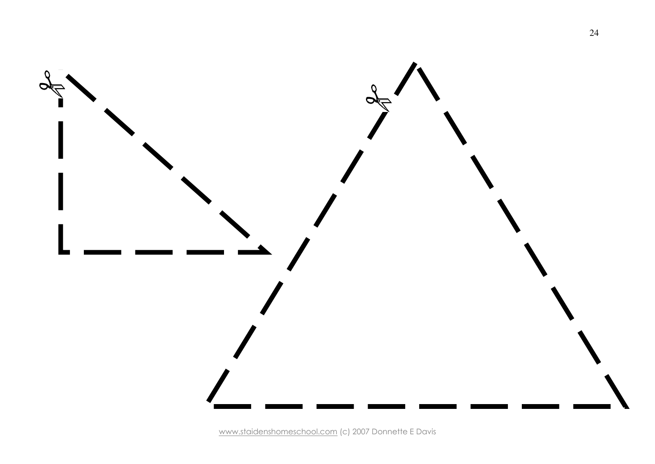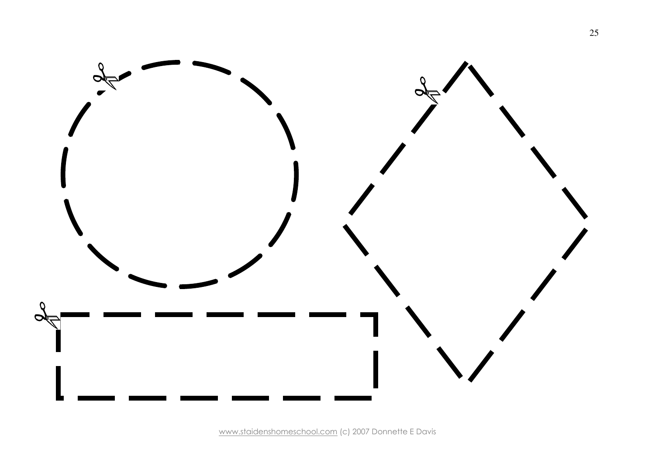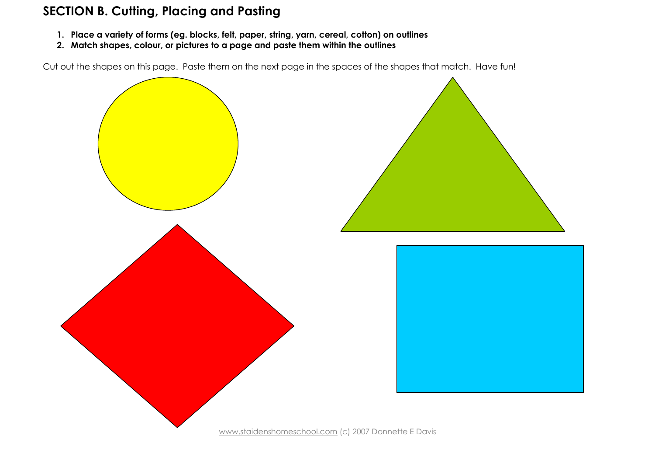### SECTION B. Cutting, Placing and Pasting

- 1. Place a variety of forms (eg. blocks, felt, paper, string, yarn, cereal, cotton) on outlines
- 2. Match shapes, colour, or pictures to a page and paste them within the outlines

Cut out the shapes on this page. Paste them on the next page in the spaces of the shapes that match. Have fun!

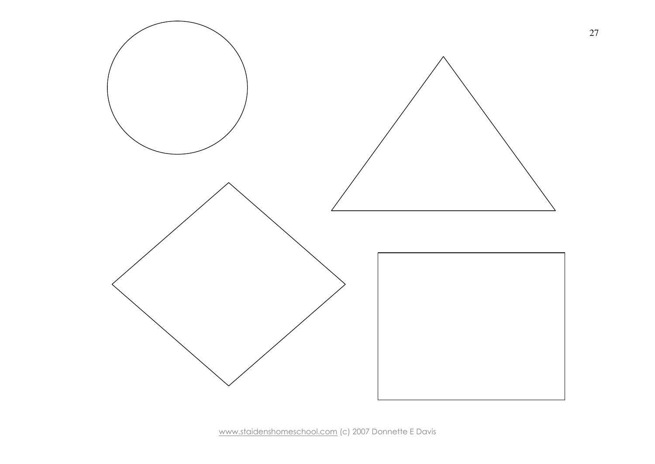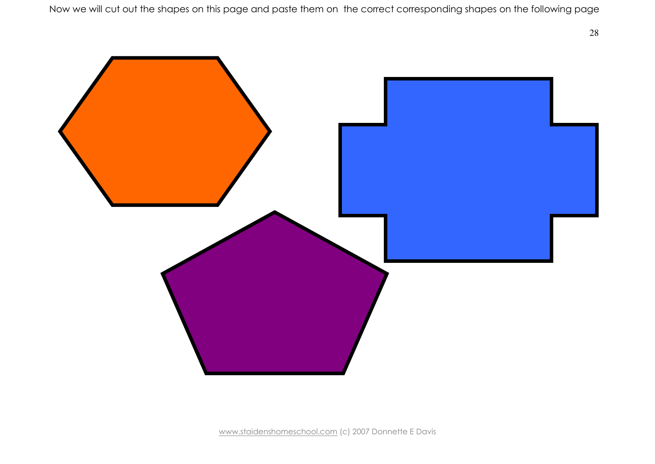Now we will cut out the shapes on this page and paste them on the correct corresponding shapes on the following page

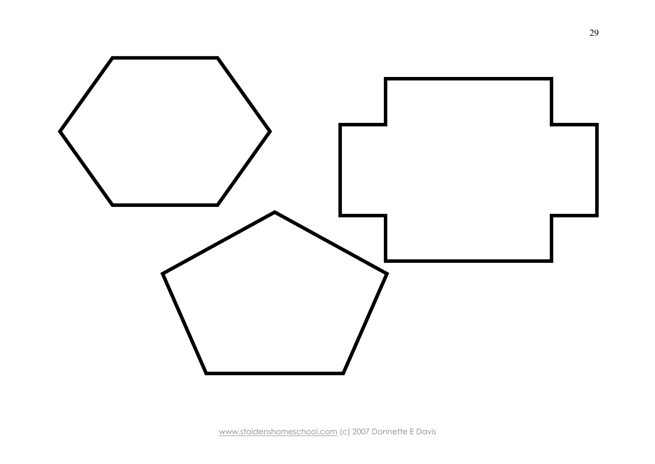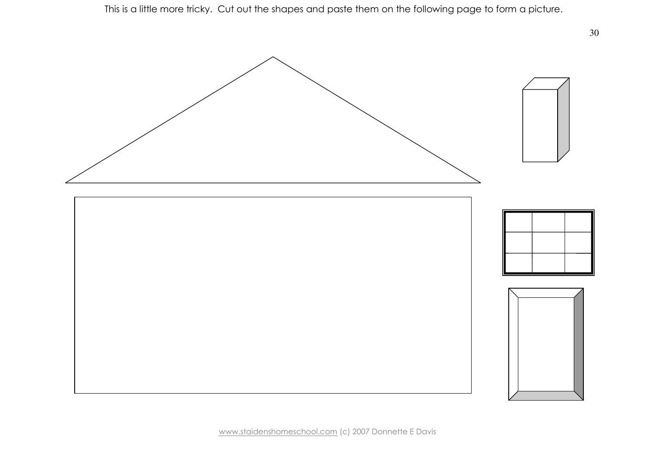This is a little more tricky. Cut out the shapes and paste them on the following page to form a picture.

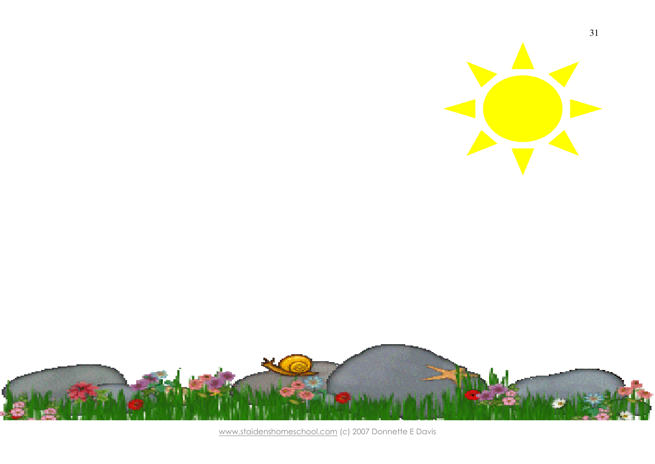

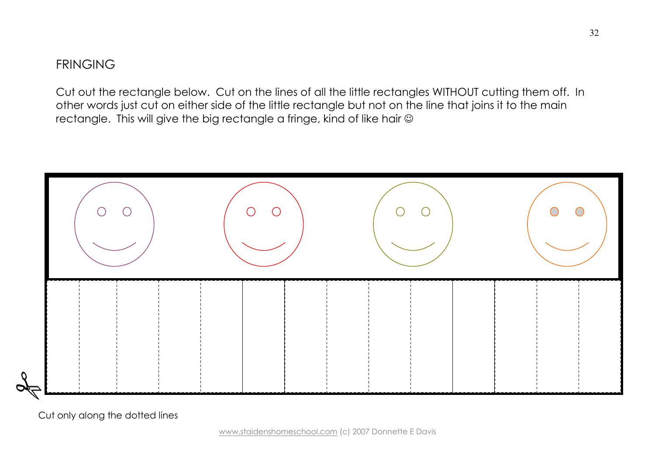### FRINGING

Cut out the rectangle below. Cut on the lines of all the little rectangles WITHOUT cutting them off. In other words just cut on either side of the little rectangle but not on the line that joins it to the main rectangle. This will give the big rectangle a fringe, kind of like hair  $\odot$ 



Cut only along the dotted lines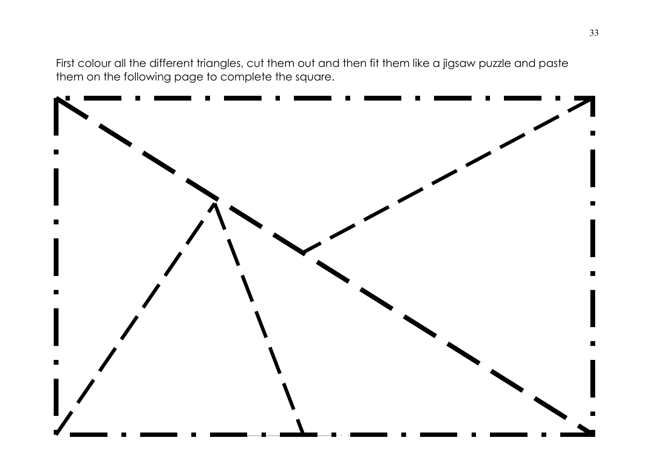First colour all the different triangles, cut them out and then fit them like a jigsaw puzzle and paste them on the following page to complete the square.

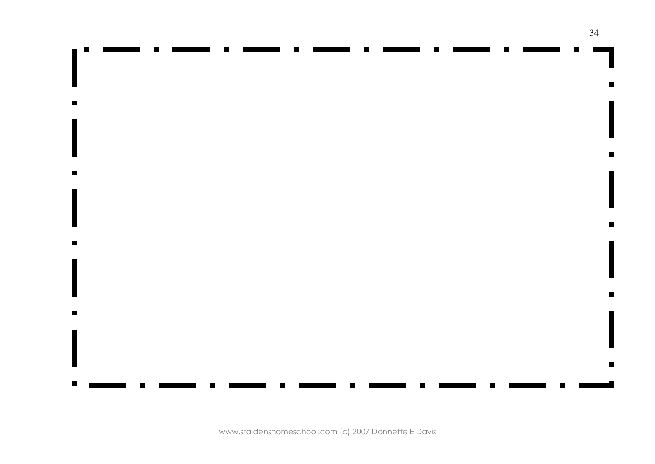| $\blacksquare$      |  | ■ |  |  |
|---------------------|--|---|--|--|
| $\blacksquare$      |  |   |  |  |
| $\blacksquare$<br>I |  |   |  |  |
| $\blacksquare$      |  |   |  |  |
| $\blacksquare$      |  |   |  |  |
| I<br>$\blacksquare$ |  |   |  |  |

34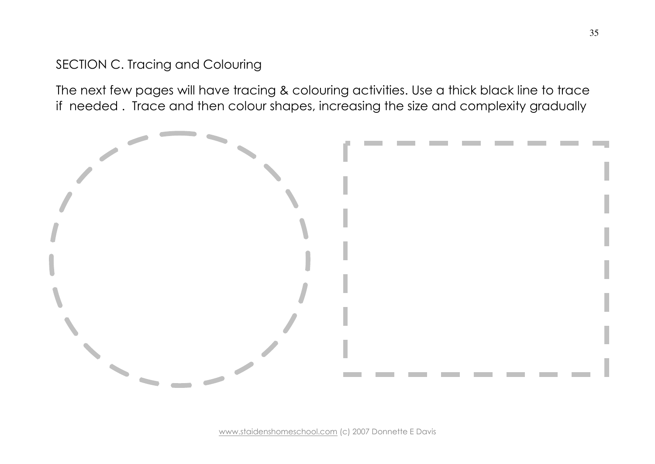### SECTION C. Tracing and Colouring

The next few pages will have tracing & colouring activities. Use a thick black line to trace if needed . Trace and then colour shapes, increasing the size and complexity gradually

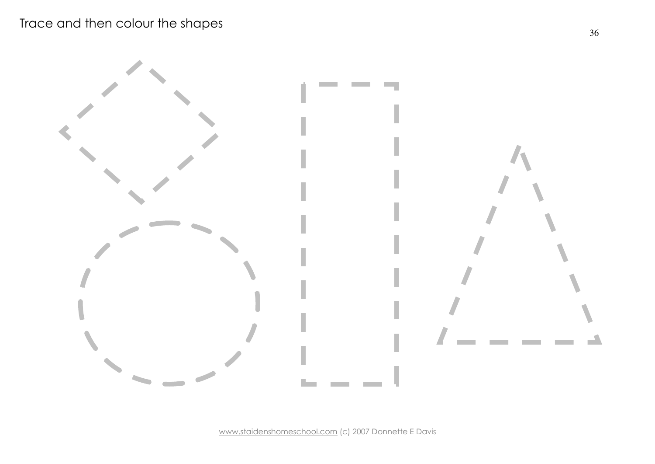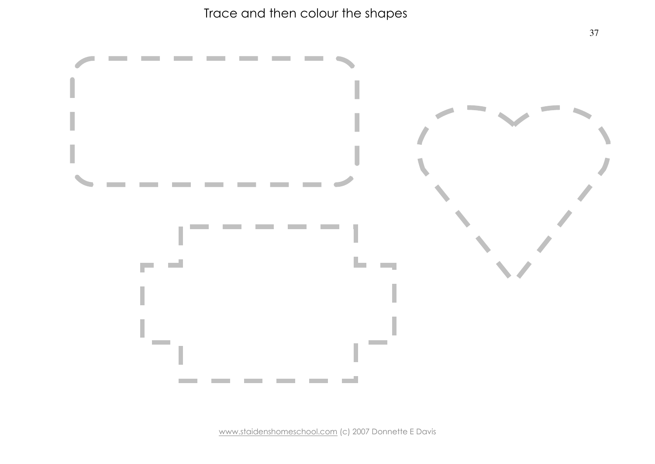Trace and then colour the shapes



www.staidenshomeschool.com (c) 2007 Donnette E Davis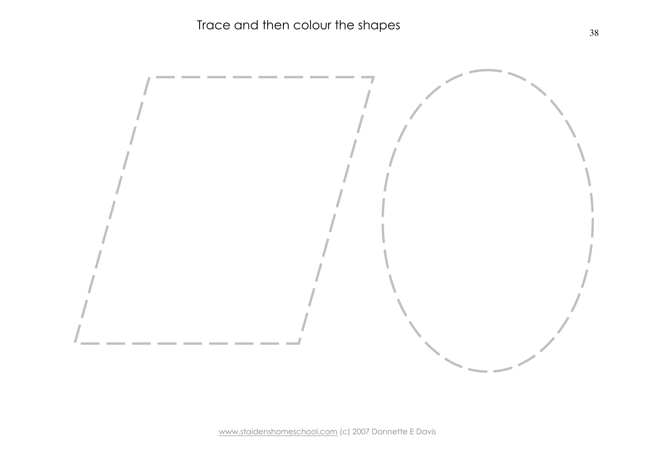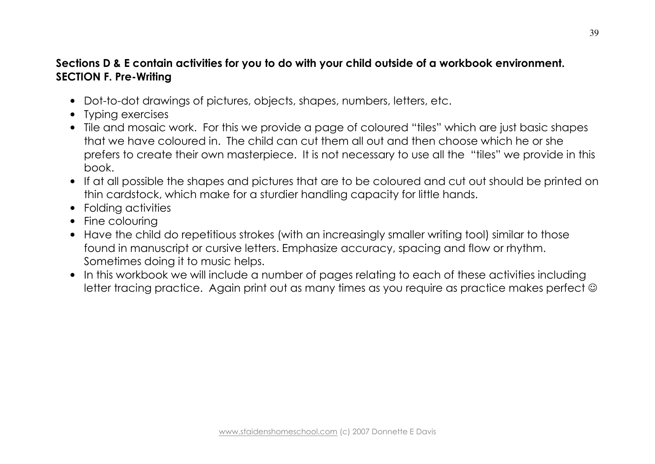## Sections D & E contain activities for you to do with your child outside of a workbook environment. SECTION F. Pre-Writing

- Dot-to-dot drawings of pictures, objects, shapes, numbers, letters, etc.
- Typing exercises
- Tile and mosaic work. For this we provide a page of coloured "tiles" which are just basic shapes that we have coloured in. The child can cut them all out and then choose which he or she prefers to create their own masterpiece. It is not necessary to use all the "tiles" we provide in this book.
- If at all possible the shapes and pictures that are to be coloured and cut out should be printed on thin cardstock, which make for a sturdier handling capacity for little hands.
- Folding activities
- Fine colouring
- Have the child do repetitious strokes (with an increasingly smaller writing tool) similar to those found in manuscript or cursive letters. Emphasize accuracy, spacing and flow or rhythm. Sometimes doing it to music helps.
- $\bullet$  In this workbook we will include a number of pages relating to each of these activities including letter tracing practice. Again print out as many times as you require as practice makes perfect  $\odot$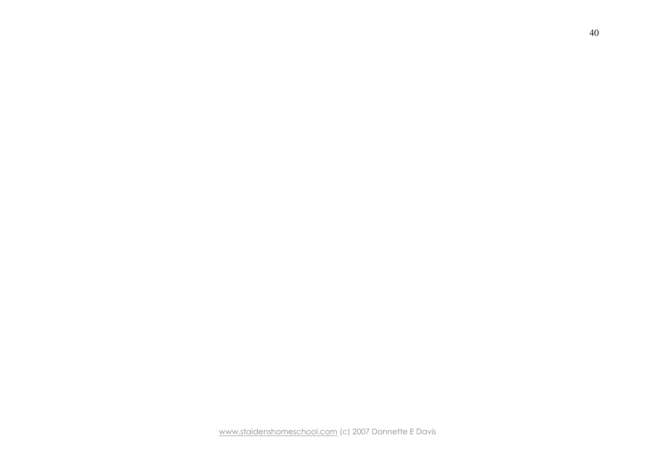www.staidenshomeschool.com (c) 2007 Donnette E Davis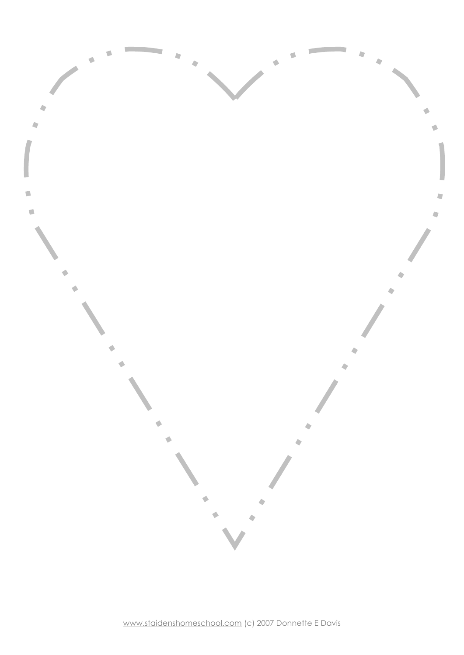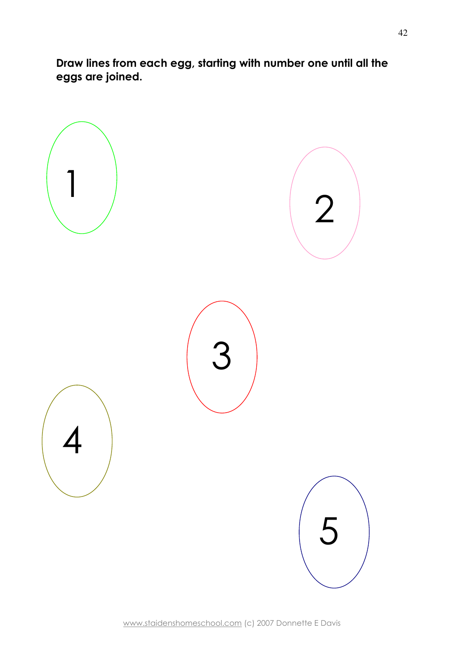Draw lines from each egg, starting with number one until all the eggs are joined.

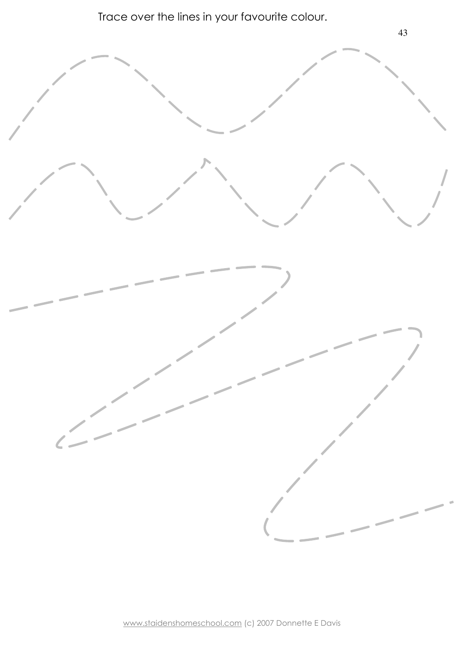Trace over the lines in your favourite colour.

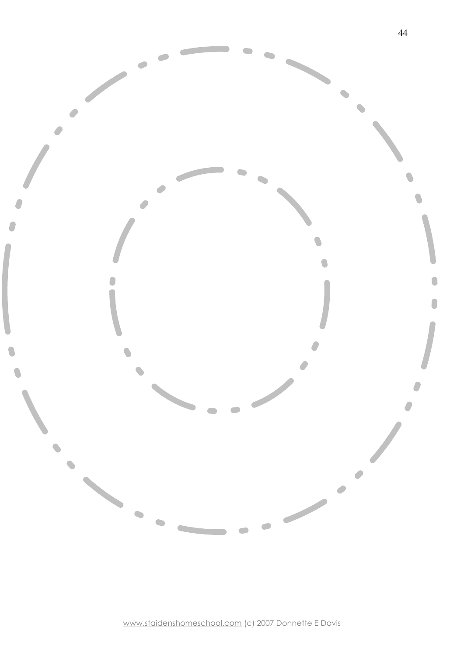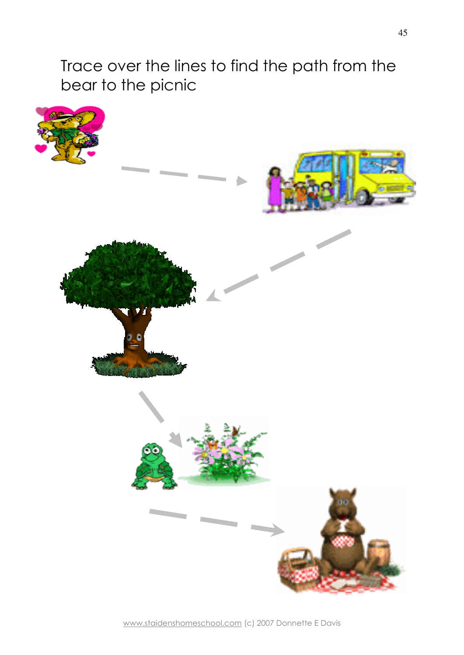Trace over the lines to find the path from the bear to the picnic

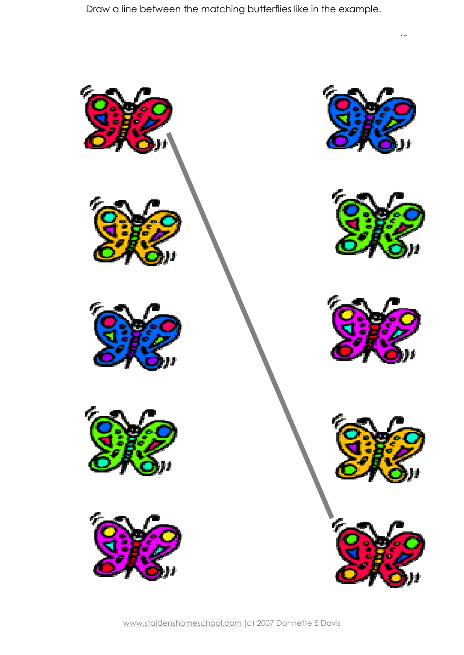$\ddot{\phantom{0}}$ 

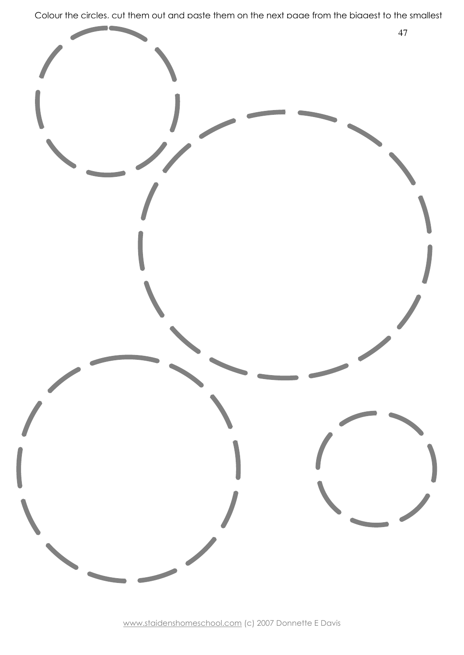Colour the circles, cut them out and paste them on the next page from the biggest to the smallest

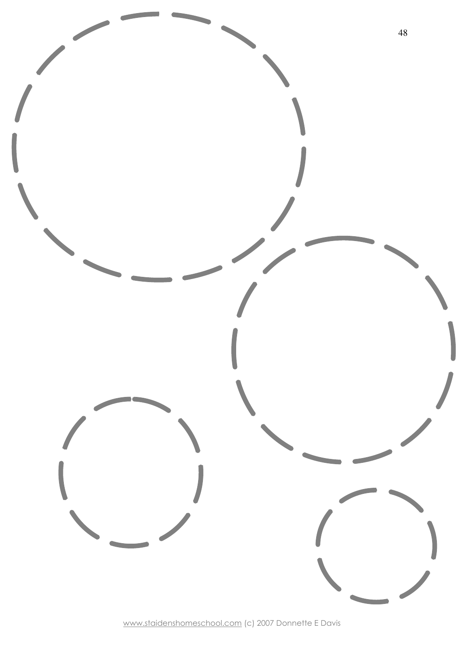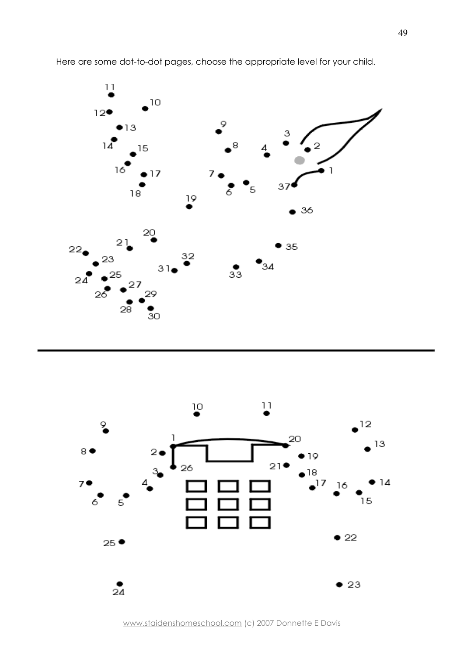

Here are some dot-to-dot pages, choose the appropriate level for your child.

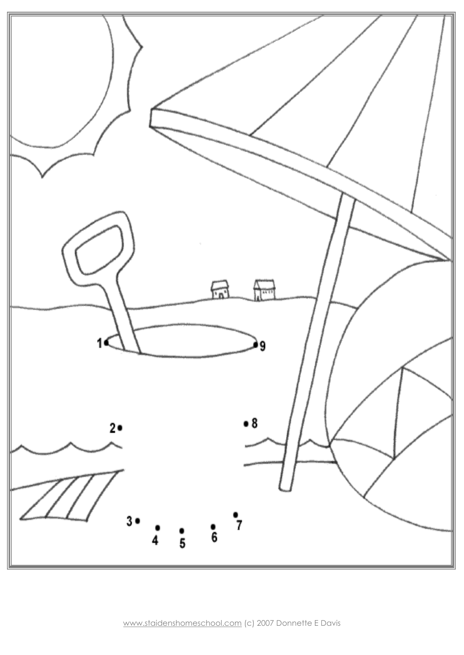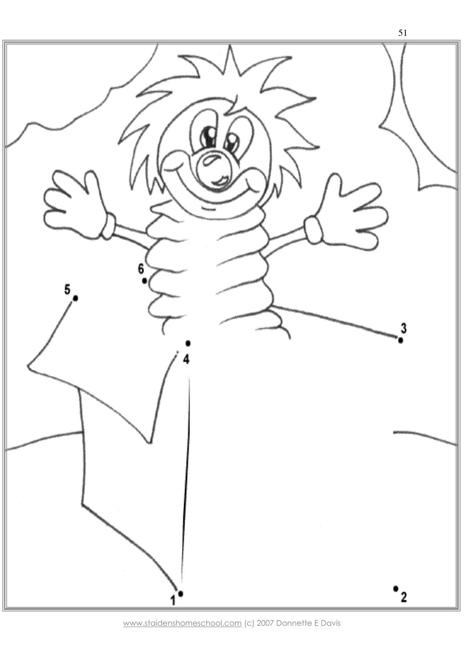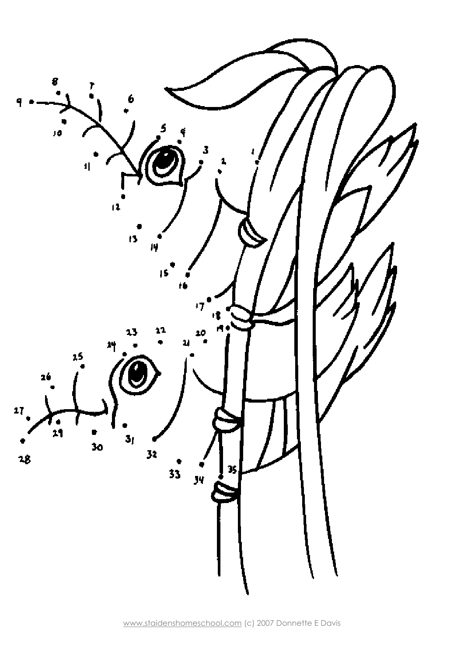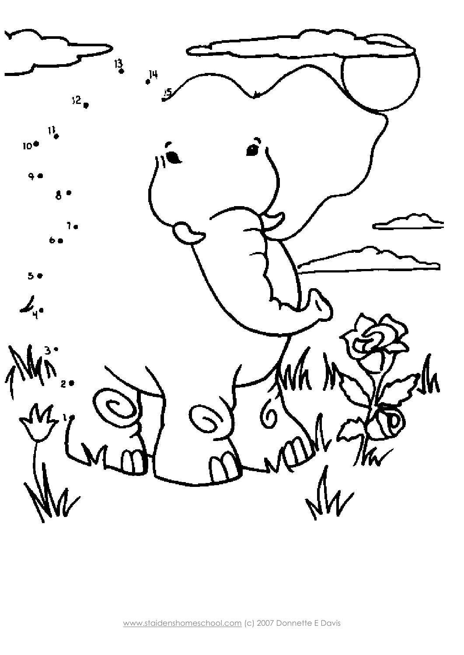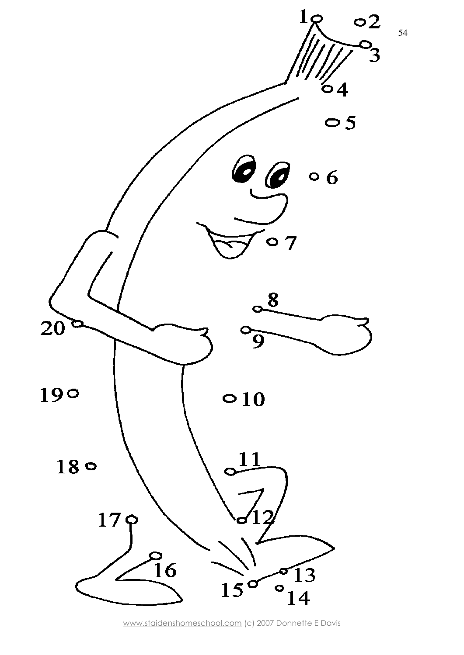

54

www.staidenshomeschool.com (c) 2007 Donnette E Davis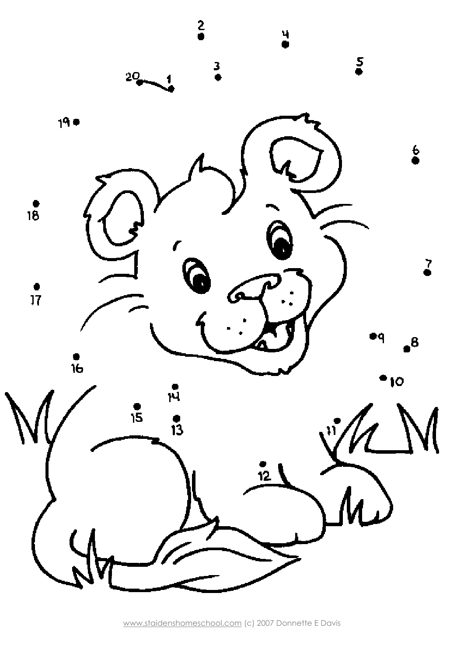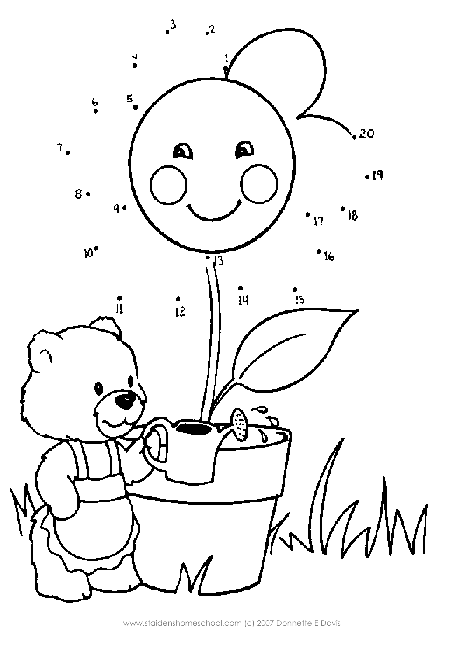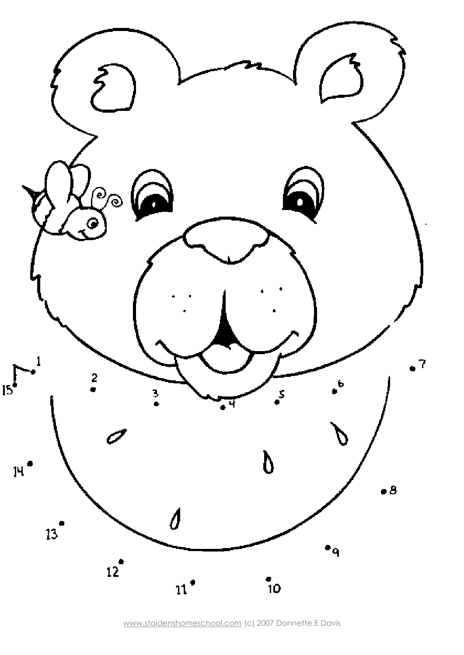

www.staidenshomeschool.com (c) 2007 Donnette E Davis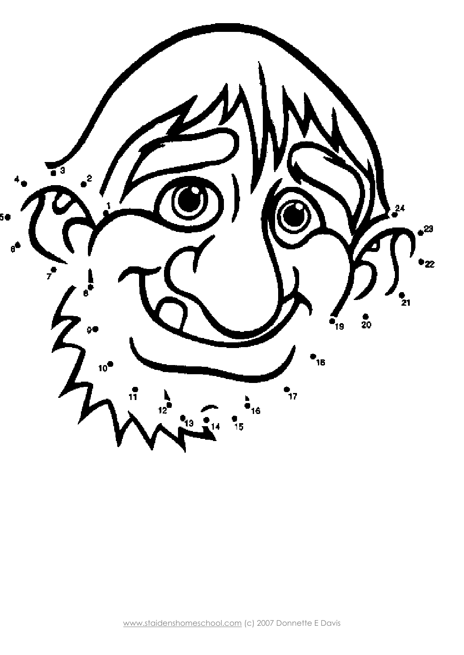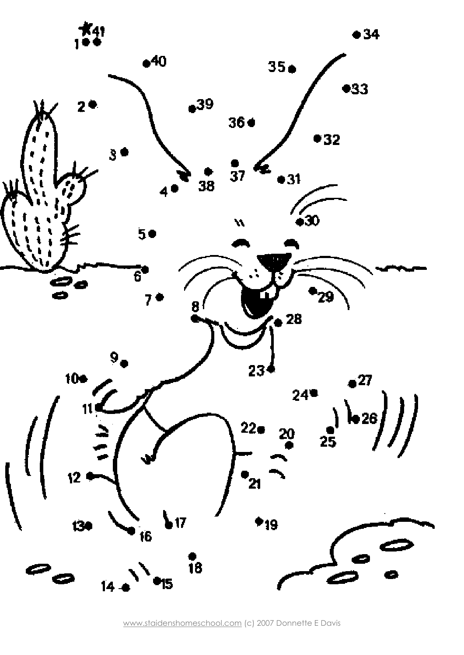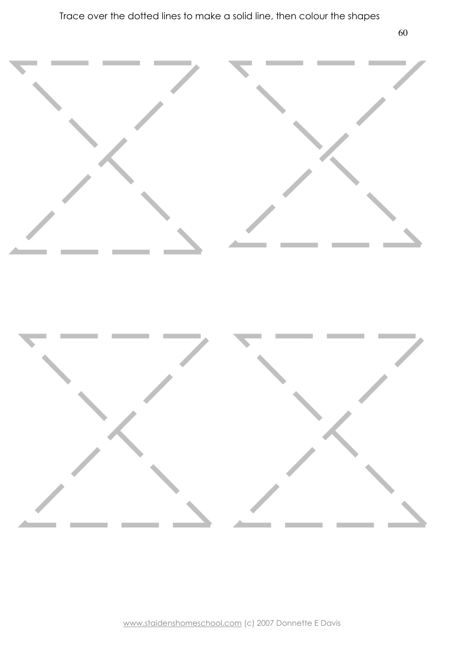Trace over the dotted lines to make a solid line, then colour the shapes



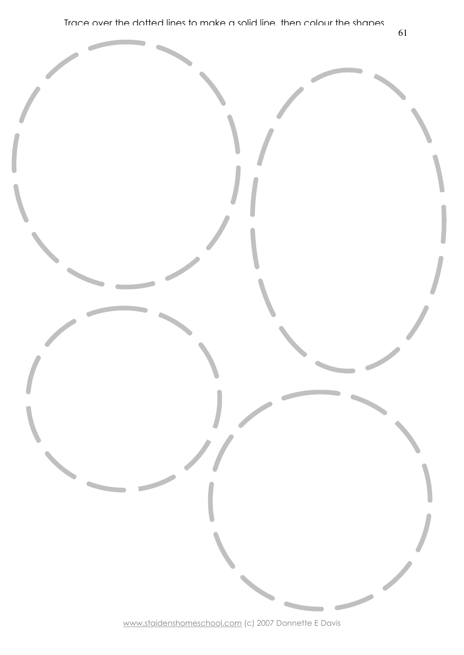Trace over the dotted lines to make a solid line, then colour the shapes

www.staidenshomeschool.com (c) 2007 Donnette E Davis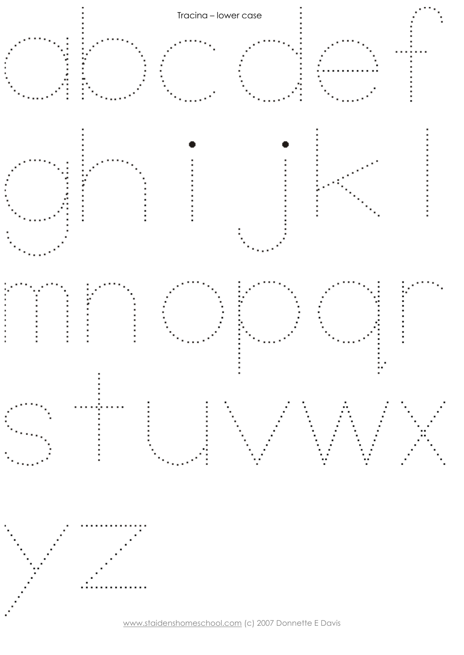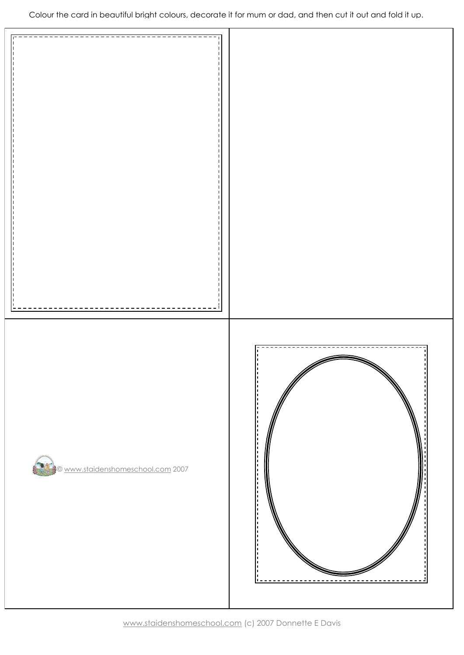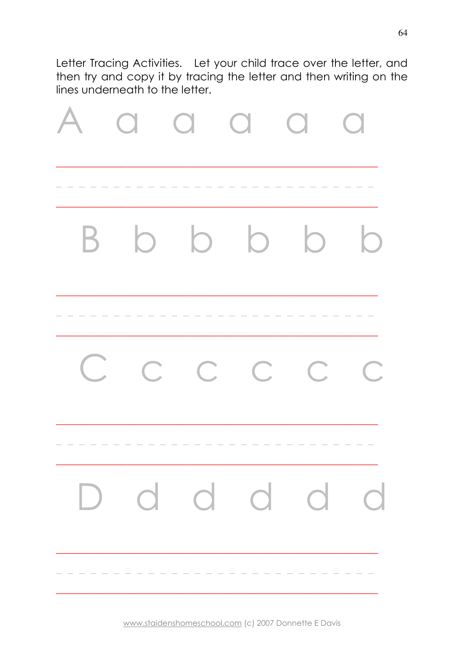Letter Tracing Activities. Let your child trace over the letter, and then try and copy it by tracing the letter and then writing on the lines underneath to the letter.

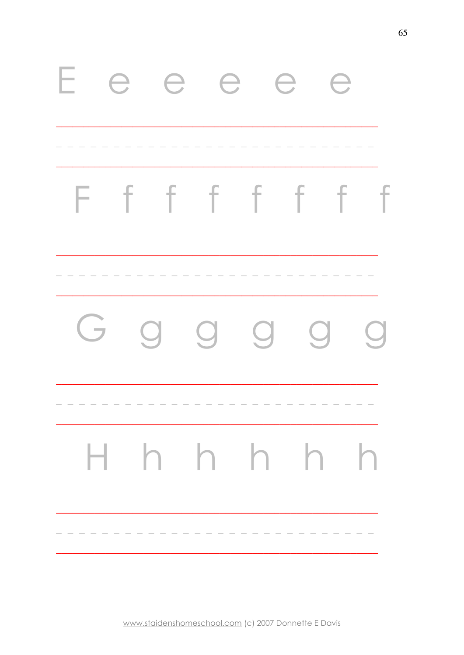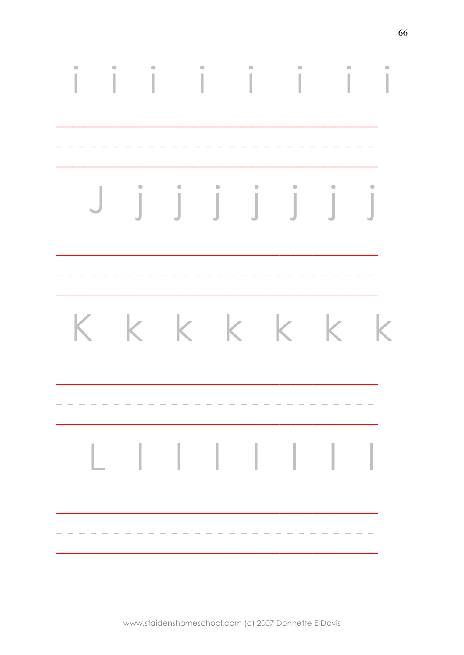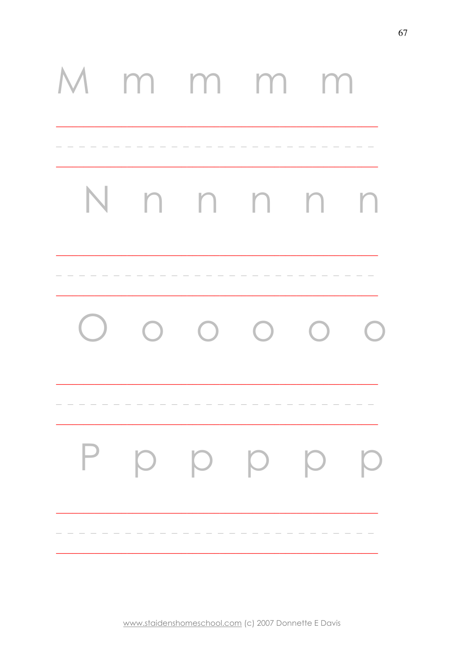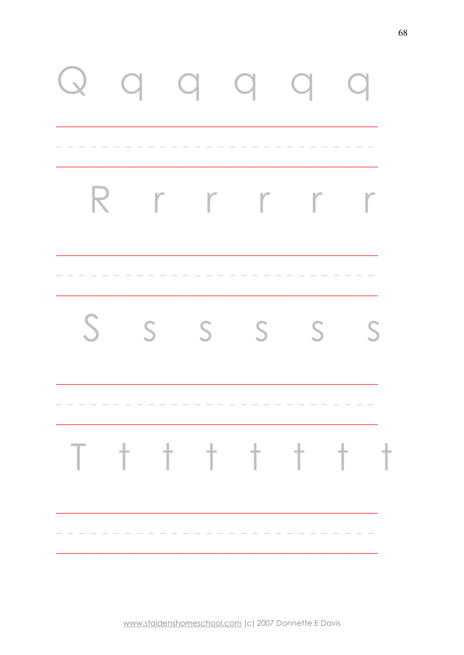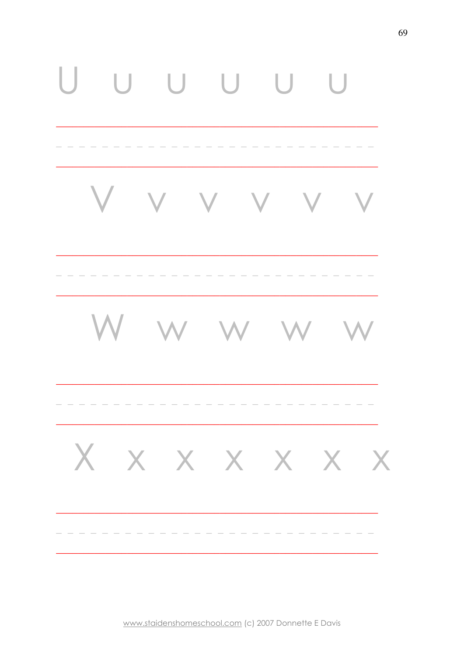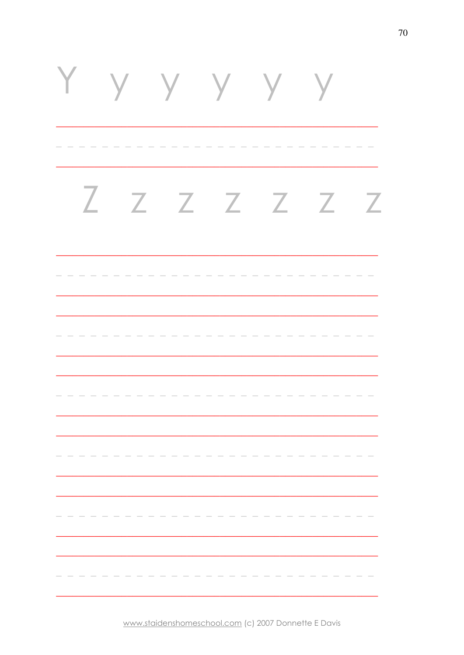|  | Y Y Y Y Y     |  | <b>V</b> |  |
|--|---------------|--|----------|--|
|  | Z z z z z z z |  |          |  |
|  |               |  |          |  |
|  |               |  |          |  |
|  |               |  |          |  |
|  |               |  |          |  |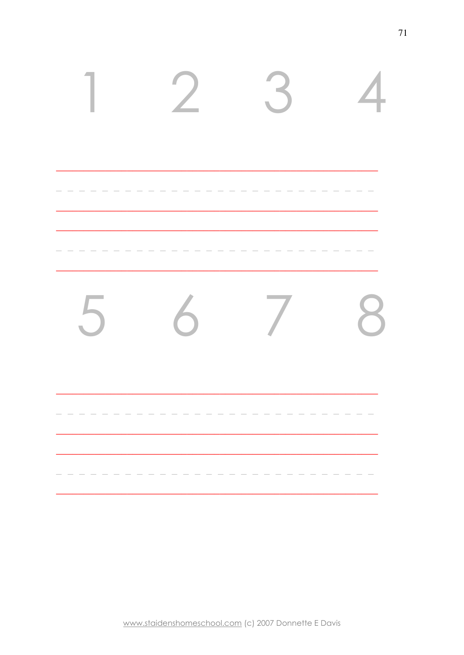

71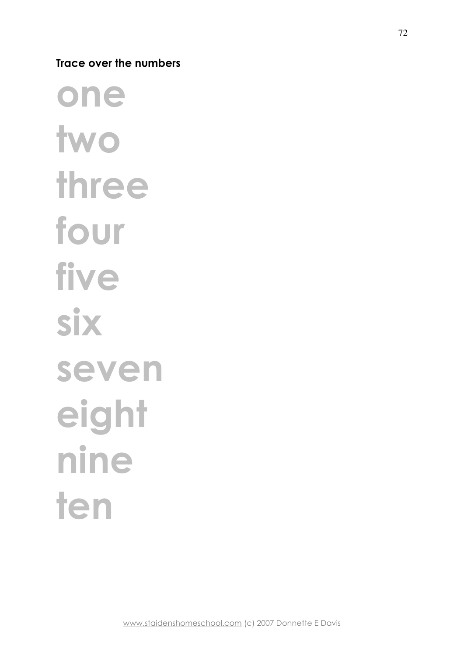Trace over the numbers

one two three four five six seven eight nine ten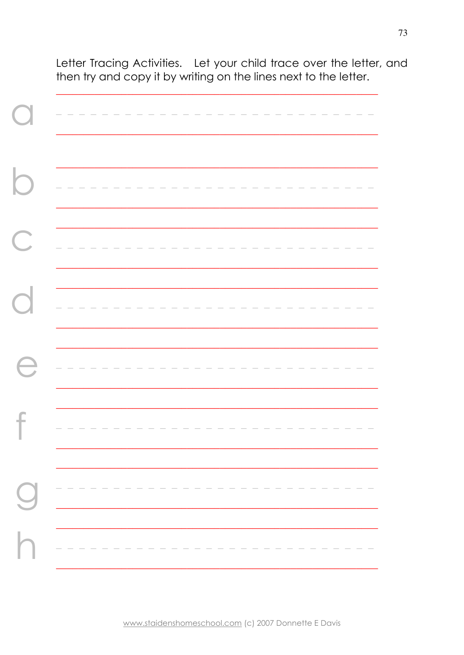$-$  - - - - - - - - - - $\overline{\phantom{a}}$  $\sim$   $\sim$  $\sim$  $\sim$  $\overline{\phantom{a}}$  $\frac{1}{2}$  =  $\frac{1}{2}$  =  $\frac{1}{2}$  =  $\frac{1}{2}$  =  $\frac{1}{2}$  =  $\frac{1}{2}$  =  $\frac{1}{2}$  $\sim$  $\sim$   $\sim$  $\frac{1}{2}$  and  $\frac{1}{2}$  and  $\frac{1}{2}$  and  $\frac{1}{2}$  and  $\frac{1}{2}$  and  $\frac{1}{2}$  and  $\frac{1}{2}$  and  $\frac{1}{2}$  and  $\frac{1}{2}$  and  $\frac{1}{2}$  and  $\frac{1}{2}$  and  $\frac{1}{2}$  and  $\frac{1}{2}$  and  $\frac{1}{2}$  and  $\frac{1}{2}$  and  $\frac{1}{2}$  a - - - - - - - - - - - - - - - $\hspace{0.1cm} - \hspace{0.1cm}$   $\hspace{0.1cm} - \hspace{0.1cm}$  $\overline{\phantom{a}}$ 

Letter Tracing Activities. Let your child trace over the letter, and then try and copy it by writing on the lines next to the letter.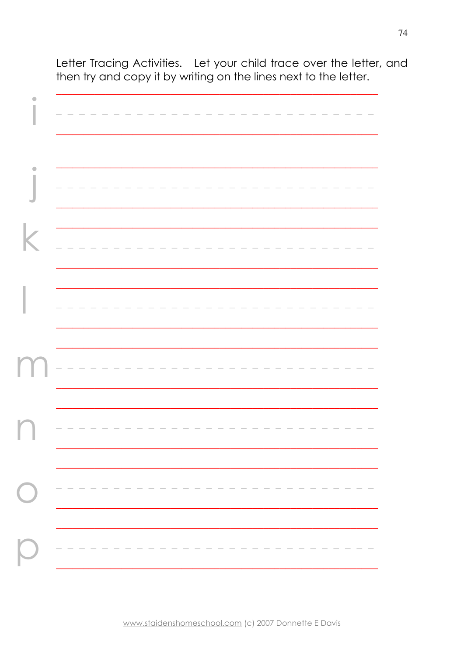Letter Tracing Activities. Let your child trace over the letter, and then try and copy it by writing on the lines next to the letter.  $\bullet$ I  $\bullet$ I  $\frac{1}{2}$  = = = = = = = = = = = =  $\sim$   $\sim$  $\sim$  $\frac{1}{2} \frac{1}{2} \frac{1}{2} \frac{1}{2} \frac{1}{2} \frac{1}{2} \frac{1}{2} \frac{1}{2} \frac{1}{2} \frac{1}{2} \frac{1}{2} \frac{1}{2} \frac{1}{2} \frac{1}{2} \frac{1}{2} \frac{1}{2} \frac{1}{2} \frac{1}{2} \frac{1}{2} \frac{1}{2} \frac{1}{2} \frac{1}{2} \frac{1}{2} \frac{1}{2} \frac{1}{2} \frac{1}{2} \frac{1}{2} \frac{1}{2} \frac{1}{2} \frac{1}{2} \frac{1}{2} \frac{$  $\overline{a}$  $\sim$  $\frac{1}{2}$  $\frac{1}{2}$  $\sim$   $-$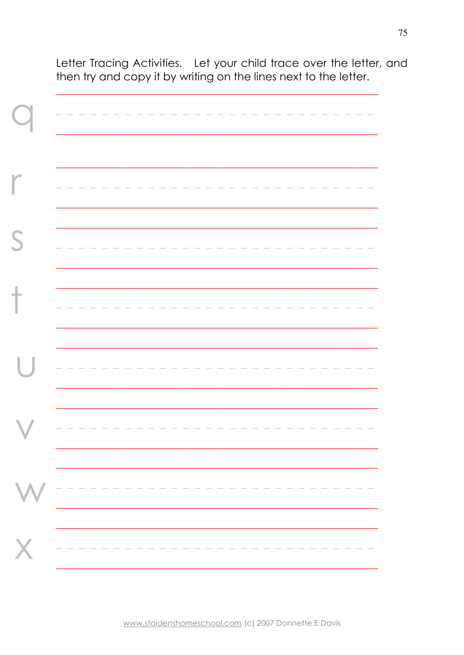|  | _ _ _ _ _ _ _ _ _ _ _ _ _ _ _ _ |  |  |
|--|---------------------------------|--|--|
|  |                                 |  |  |
|  | -----------------               |  |  |
|  |                                 |  |  |
|  |                                 |  |  |

Letter Tracing Activities. Let your child trace over the letter, and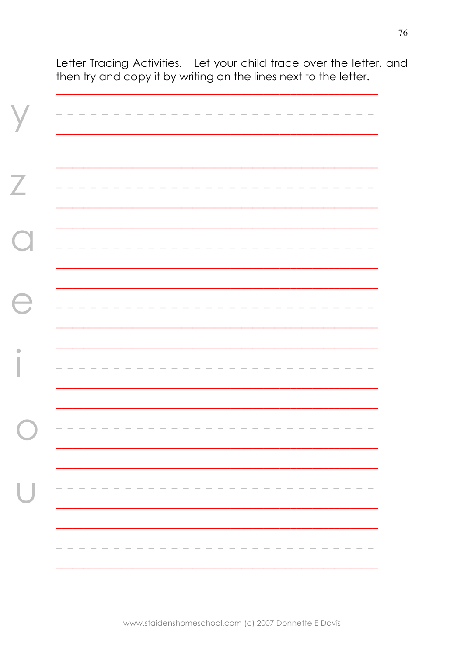$\overline{\phantom{a}}$  $\sim$ \_ \_ \_ \_ \_ \_ \_ \_ \_ \_ \_ \_ \_ \_ \_  $\sim$  $\sim$  $\frac{1}{2} \left( \frac{1}{2} \right) \frac{1}{2} \left( \frac{1}{2} \right) \frac{1}{2} \left( \frac{1}{2} \right) \frac{1}{2} \left( \frac{1}{2} \right) \frac{1}{2} \left( \frac{1}{2} \right) \frac{1}{2} \left( \frac{1}{2} \right) \frac{1}{2} \left( \frac{1}{2} \right) \frac{1}{2} \left( \frac{1}{2} \right) \frac{1}{2} \left( \frac{1}{2} \right) \frac{1}{2} \left( \frac{1}{2} \right) \frac{1}{2} \left( \frac{1}{2} \right)$  $\sim$   $\sim$   $\sim$  $\sim$  $\sim$  $\sim$  $\sim$  $\sim$  $\frac{1}{2} \left( \frac{1}{2} \right) \left( \frac{1}{2} \right) \left( \frac{1}{2} \right) \left( \frac{1}{2} \right) \left( \frac{1}{2} \right) \left( \frac{1}{2} \right) \left( \frac{1}{2} \right) \left( \frac{1}{2} \right) \left( \frac{1}{2} \right) \left( \frac{1}{2} \right) \left( \frac{1}{2} \right) \left( \frac{1}{2} \right) \left( \frac{1}{2} \right) \left( \frac{1}{2} \right) \left( \frac{1}{2} \right) \left( \frac{1}{2} \right) \left( \frac$ ------------

Letter Tracing Activities. Let your child trace over the letter, and then try and copy it by writing on the lines next to the letter.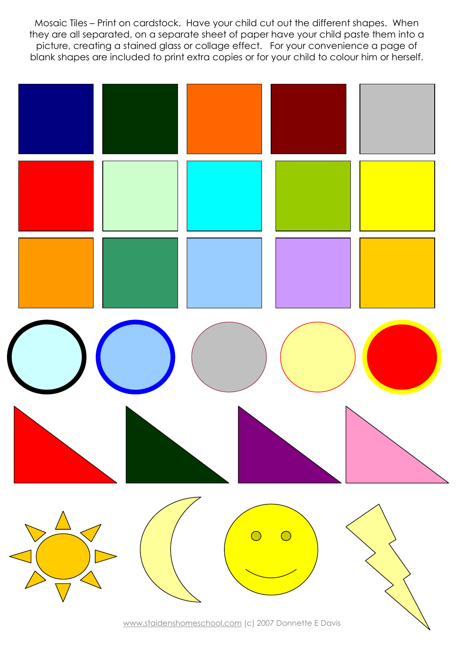77 they are all separated, on a separate sheet of paper have your child paste them into a Mosaic Tiles – Print on cardstock. Have your child cut out the different shapes. When picture, creating a stained glass or collage effect. For your convenience a page of blank shapes are included to print extra copies or for your child to colour him or herself.

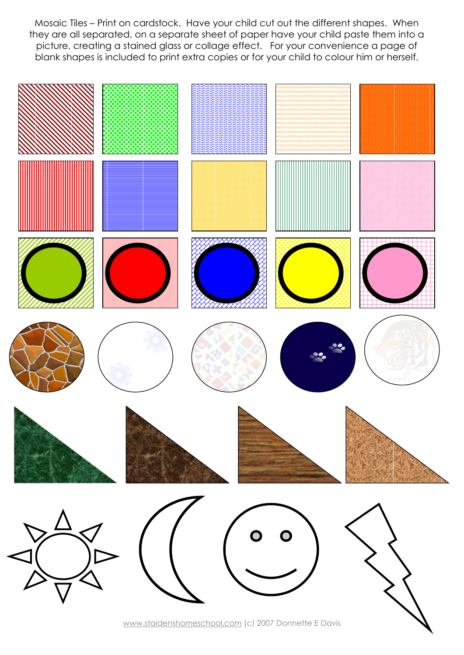they are all separated, on a separate sheet of paper have your child paste them into a Mosaic Tiles – Print on cardstock. Have your child cut out the different shapes. When picture, creating a stained glass or collage effect. For your convenience a page of blank shapes is included to print extra copies or for your child to colour him or herself.

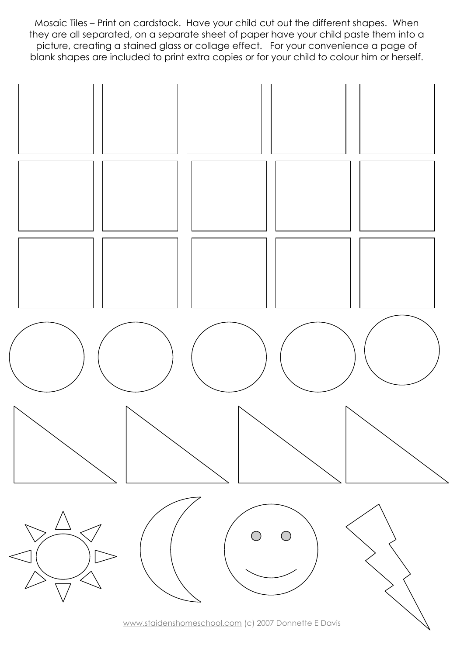they are all separated, on a separate sheet of paper have your child paste them into a Mosaic Tiles – Print on cardstock. Have your child cut out the different shapes. When picture, creating a stained glass or collage effect. For your convenience a page of blank shapes are included to print extra copies or for your child to colour him or herself.

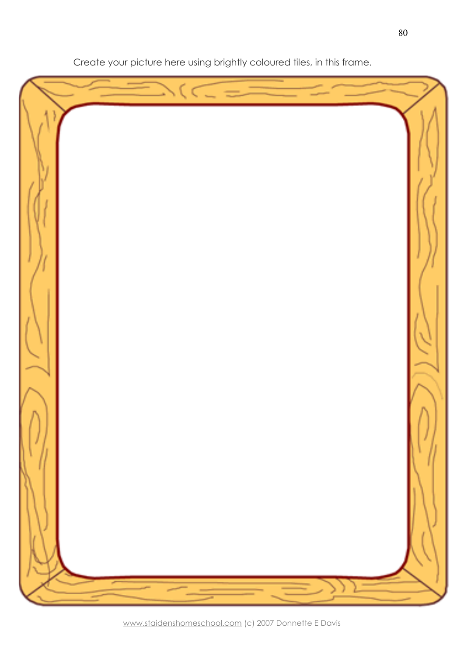

Create your picture here using brightly coloured tiles, in this frame.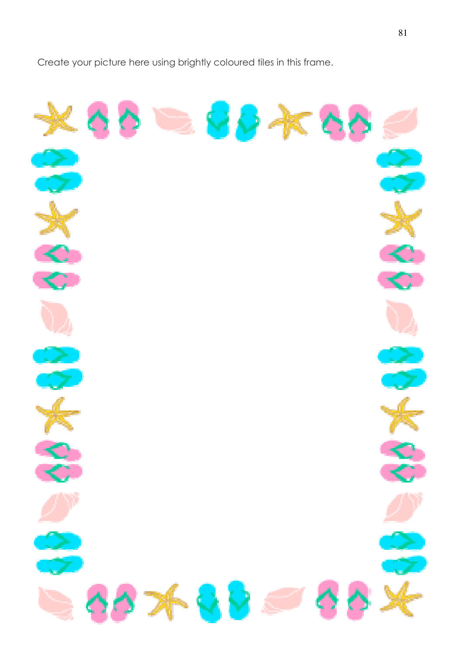Create your picture here using brightly coloured tiles in this frame.

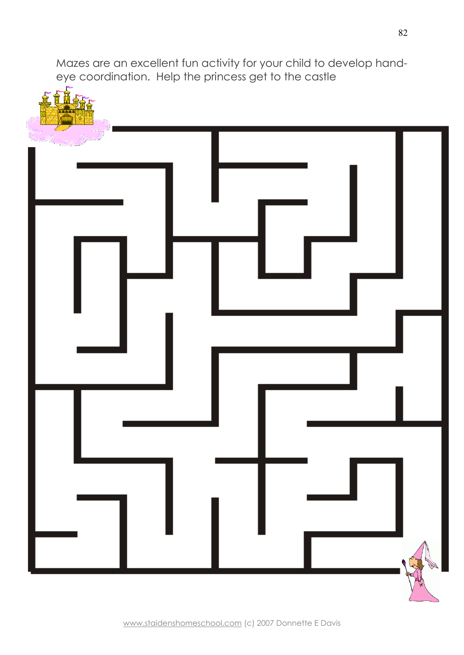Mazes are an excellent fun activity for your child to develop handeye coordination. Help the princess get to the castle

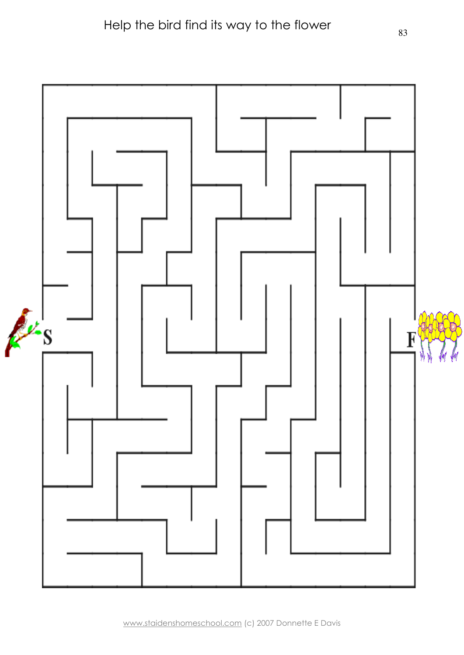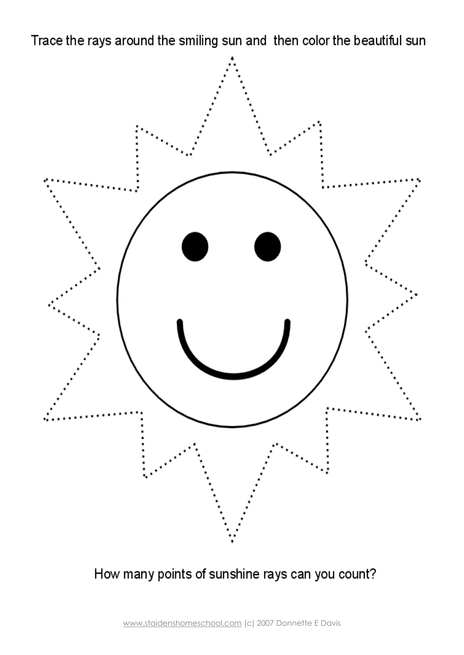Trace the rays around the smiling sun and then color the beautiful sun



# How many points of sunshine rays can you count?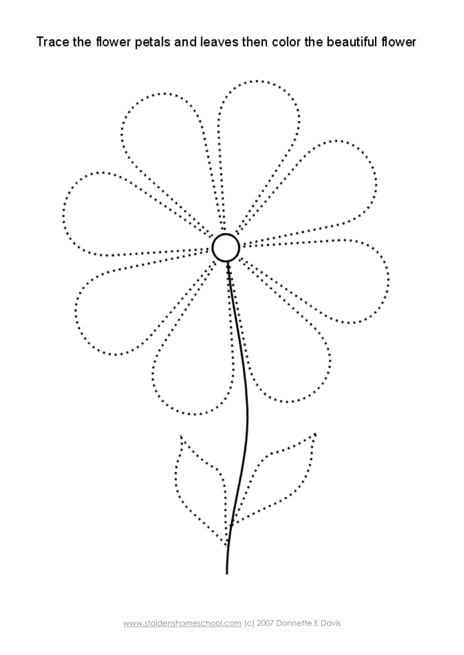Trace the flower petals and leaves then color the beautiful flower

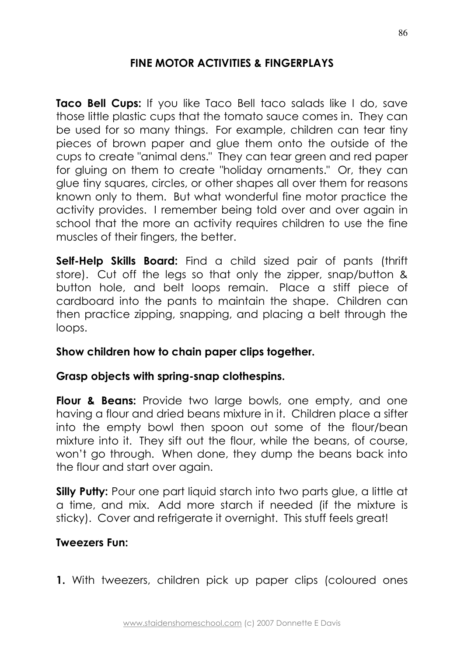### FINE MOTOR ACTIVITIES & FINGERPLAYS

**Taco Bell Cups:** If you like Taco Bell taco salads like I do, save those little plastic cups that the tomato sauce comes in. They can be used for so many things. For example, children can tear tiny pieces of brown paper and glue them onto the outside of the cups to create "animal dens." They can tear green and red paper for gluing on them to create "holiday ornaments." Or, they can glue tiny squares, circles, or other shapes all over them for reasons known only to them. But what wonderful fine motor practice the activity provides. I remember being told over and over again in school that the more an activity requires children to use the fine muscles of their fingers, the better.

Self-Help Skills Board: Find a child sized pair of pants (thrift store). Cut off the legs so that only the zipper, snap/button & button hole, and belt loops remain. Place a stiff piece of cardboard into the pants to maintain the shape. Children can then practice zipping, snapping, and placing a belt through the loops.

### Show children how to chain paper clips together.

#### Grasp objects with spring-snap clothespins.

Flour & Beans: Provide two large bowls, one empty, and one having a flour and dried beans mixture in it. Children place a sifter into the empty bowl then spoon out some of the flour/bean mixture into it. They sift out the flour, while the beans, of course, won't go through. When done, they dump the beans back into the flour and start over again.

**Silly Putty:** Pour one part liquid starch into two parts glue, a little at a time, and mix. Add more starch if needed (if the mixture is sticky). Cover and refrigerate it overnight. This stuff feels great!

#### Tweezers Fun:

1. With tweezers, children pick up paper clips (coloured ones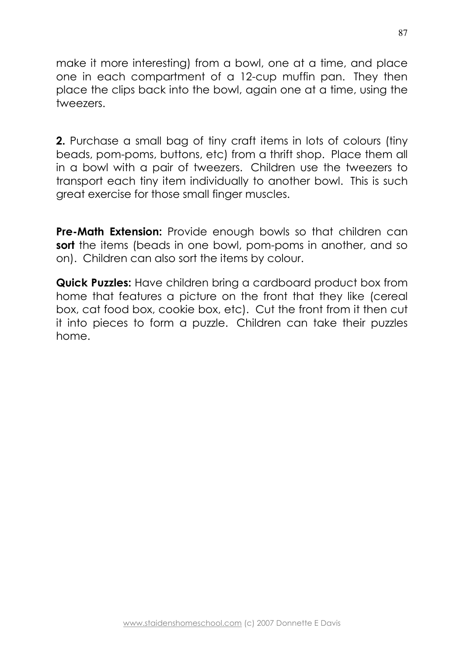make it more interesting) from a bowl, one at a time, and place one in each compartment of a 12-cup muffin pan. They then place the clips back into the bowl, again one at a time, using the tweezers.

2. Purchase a small bag of tiny craft items in lots of colours (tiny beads, pom-poms, buttons, etc) from a thrift shop. Place them all in a bowl with a pair of tweezers. Children use the tweezers to transport each tiny item individually to another bowl. This is such great exercise for those small finger muscles.

**Pre-Math Extension:** Provide enough bowls so that children can sort the items (beads in one bowl, pom-poms in another, and so on). Children can also sort the items by colour.

Quick Puzzles: Have children bring a cardboard product box from home that features a picture on the front that they like (cereal box, cat food box, cookie box, etc). Cut the front from it then cut it into pieces to form a puzzle. Children can take their puzzles home.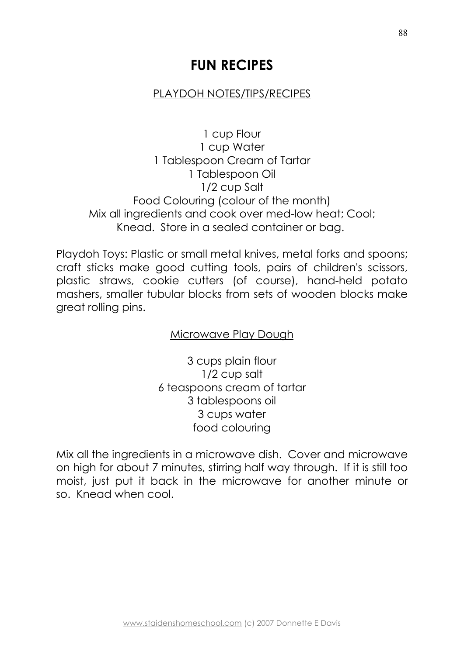## FUN RECIPES

#### PLAYDOH NOTES/TIPS/RECIPES

1 cup Flour 1 cup Water 1 Tablespoon Cream of Tartar 1 Tablespoon Oil 1/2 cup Salt Food Colouring (colour of the month) Mix all ingredients and cook over med-low heat; Cool; Knead. Store in a sealed container or bag.

Playdoh Toys: Plastic or small metal knives, metal forks and spoons; craft sticks make good cutting tools, pairs of children's scissors, plastic straws, cookie cutters (of course), hand-held potato mashers, smaller tubular blocks from sets of wooden blocks make great rolling pins.

#### Microwave Play Dough

3 cups plain flour 1/2 cup salt 6 teaspoons cream of tartar 3 tablespoons oil 3 cups water food colouring

Mix all the ingredients in a microwave dish. Cover and microwave on high for about 7 minutes, stirring half way through. If it is still too moist, just put it back in the microwave for another minute or so. Knead when cool.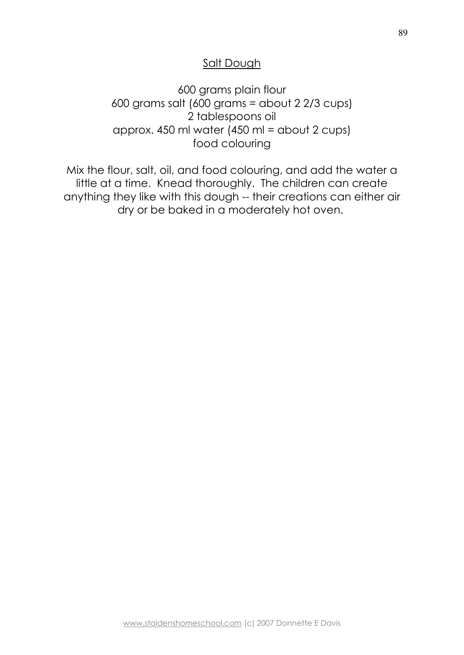### Salt Dough

600 grams plain flour 600 grams salt (600 grams = about 2 2/3 cups) 2 tablespoons oil approx. 450 ml water (450 ml = about 2 cups) food colouring

Mix the flour, salt, oil, and food colouring, and add the water a little at a time. Knead thoroughly. The children can create anything they like with this dough -- their creations can either air dry or be baked in a moderately hot oven.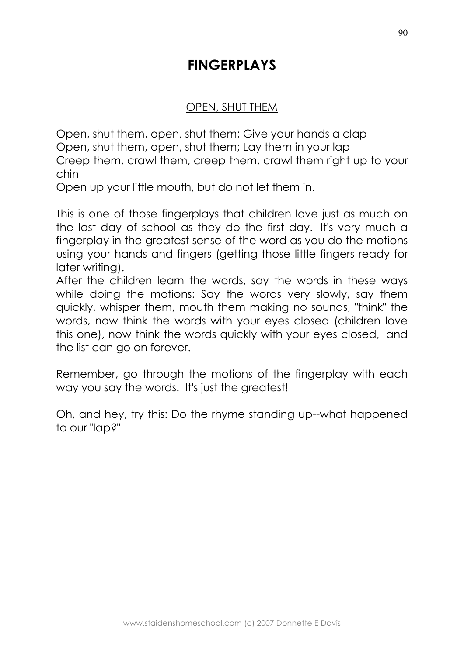# FINGERPLAYS

### OPEN, SHUT THEM

Open, shut them, open, shut them; Give your hands a clap Open, shut them, open, shut them; Lay them in your lap Creep them, crawl them, creep them, crawl them right up to your chin

Open up your little mouth, but do not let them in.

This is one of those fingerplays that children love just as much on the last day of school as they do the first day. It's very much a fingerplay in the greatest sense of the word as you do the motions using your hands and fingers (getting those little fingers ready for later writing).

After the children learn the words, say the words in these ways while doing the motions: Say the words very slowly, say them quickly, whisper them, mouth them making no sounds, "think" the words, now think the words with your eyes closed (children love this one), now think the words quickly with your eyes closed, and the list can go on forever.

Remember, go through the motions of the fingerplay with each way you say the words. It's just the greatest!

Oh, and hey, try this: Do the rhyme standing up--what happened to our "lap?"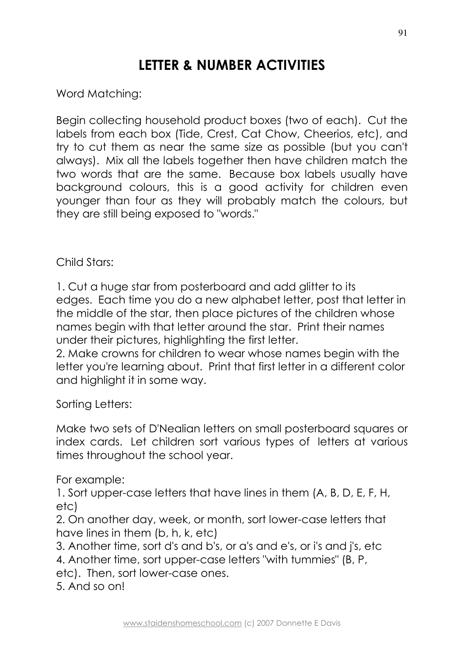# LETTER & NUMBER ACTIVITIES

Word Matching:

Begin collecting household product boxes (two of each). Cut the labels from each box (Tide, Crest, Cat Chow, Cheerios, etc), and try to cut them as near the same size as possible (but you can't always). Mix all the labels together then have children match the two words that are the same. Because box labels usually have background colours, this is a good activity for children even younger than four as they will probably match the colours, but they are still being exposed to "words."

Child Stars:

1. Cut a huge star from posterboard and add glitter to its edges. Each time you do a new alphabet letter, post that letter in the middle of the star, then place pictures of the children whose names begin with that letter around the star. Print their names under their pictures, highlighting the first letter.

2. Make crowns for children to wear whose names begin with the letter you're learning about. Print that first letter in a different color and highlight it in some way.

Sorting Letters:

Make two sets of D'Nealian letters on small posterboard squares or index cards. Let children sort various types of letters at various times throughout the school year.

For example:

1. Sort upper-case letters that have lines in them (A, B, D, E, F, H, etc)

2. On another day, week, or month, sort lower-case letters that have lines in them (b, h, k, etc)

3. Another time, sort d's and b's, or a's and e's, or i's and j's, etc

4. Another time, sort upper-case letters "with tummies" (B, P,

etc). Then, sort lower-case ones.

5. And so on!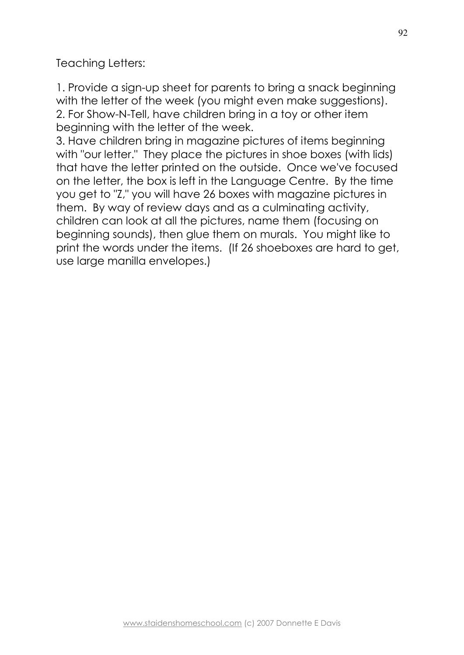Teaching Letters:

1. Provide a sign-up sheet for parents to bring a snack beginning with the letter of the week (you might even make suggestions). 2. For Show-N-Tell, have children bring in a toy or other item beginning with the letter of the week.

3. Have children bring in magazine pictures of items beginning with "our letter." They place the pictures in shoe boxes (with lids) that have the letter printed on the outside. Once we've focused on the letter, the box is left in the Language Centre. By the time you get to "Z," you will have 26 boxes with magazine pictures in them. By way of review days and as a culminating activity, children can look at all the pictures, name them (focusing on beginning sounds), then glue them on murals. You might like to print the words under the items. (If 26 shoeboxes are hard to get, use large manilla envelopes.)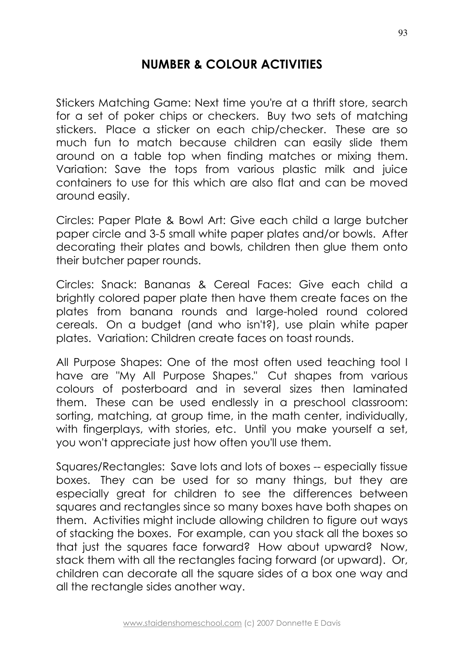## NUMBER & COLOUR ACTIVITIES

Stickers Matching Game: Next time you're at a thrift store, search for a set of poker chips or checkers. Buy two sets of matching stickers. Place a sticker on each chip/checker. These are so much fun to match because children can easily slide them around on a table top when finding matches or mixing them. Variation: Save the tops from various plastic milk and juice containers to use for this which are also flat and can be moved around easily.

Circles: Paper Plate & Bowl Art: Give each child a large butcher paper circle and 3-5 small white paper plates and/or bowls. After decorating their plates and bowls, children then glue them onto their butcher paper rounds.

Circles: Snack: Bananas & Cereal Faces: Give each child a brightly colored paper plate then have them create faces on the plates from banana rounds and large-holed round colored cereals. On a budget (and who isn't?), use plain white paper plates. Variation: Children create faces on toast rounds.

All Purpose Shapes: One of the most often used teaching tool I have are "My All Purpose Shapes." Cut shapes from various colours of posterboard and in several sizes then laminated them. These can be used endlessly in a preschool classroom: sorting, matching, at group time, in the math center, individually, with fingerplays, with stories, etc. Until you make yourself a set, you won't appreciate just how often you'll use them.

Squares/Rectangles: Save lots and lots of boxes -- especially tissue boxes. They can be used for so many things, but they are especially great for children to see the differences between squares and rectangles since so many boxes have both shapes on them. Activities might include allowing children to figure out ways of stacking the boxes. For example, can you stack all the boxes so that just the squares face forward? How about upward? Now, stack them with all the rectangles facing forward (or upward). Or, children can decorate all the square sides of a box one way and all the rectangle sides another way.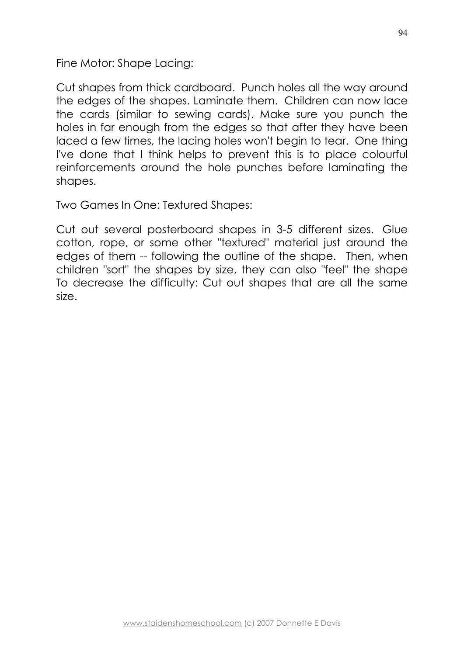Fine Motor: Shape Lacing:

Cut shapes from thick cardboard. Punch holes all the way around the edges of the shapes. Laminate them. Children can now lace the cards (similar to sewing cards). Make sure you punch the holes in far enough from the edges so that after they have been laced a few times, the lacing holes won't begin to tear. One thing I've done that I think helps to prevent this is to place colourful reinforcements around the hole punches before laminating the shapes.

Two Games In One: Textured Shapes:

Cut out several posterboard shapes in 3-5 different sizes. Glue cotton, rope, or some other "textured" material just around the edges of them -- following the outline of the shape. Then, when children "sort" the shapes by size, they can also "feel" the shape To decrease the difficulty: Cut out shapes that are all the same size.